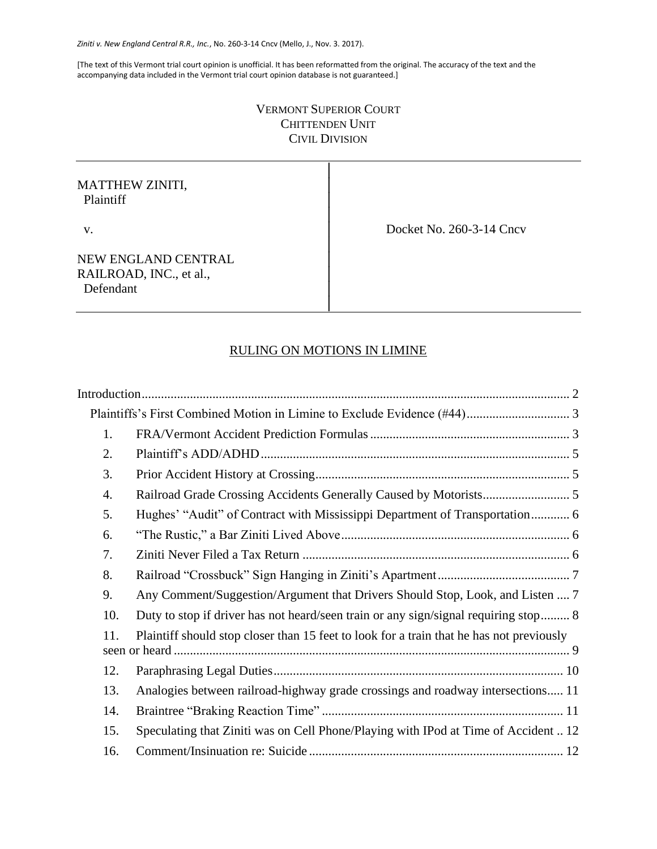[The text of this Vermont trial court opinion is unofficial. It has been reformatted from the original. The accuracy of the text and the accompanying data included in the Vermont trial court opinion database is not guaranteed.]

# VERMONT SUPERIOR COURT CHITTENDEN UNIT CIVIL DIVISION

│

│

│

# MATTHEW ZINITI, Plaintiff │

v. Docket No. 260-3-14 Cncv

NEW ENGLAND CENTRAL RAILROAD, INC., et al., Defendant

# RULING ON MOTIONS IN LIMINE

│

| 1.  |                                                                                          |
|-----|------------------------------------------------------------------------------------------|
| 2.  |                                                                                          |
| 3.  |                                                                                          |
| 4.  |                                                                                          |
| 5.  | Hughes' "Audit" of Contract with Mississippi Department of Transportation 6              |
| 6.  |                                                                                          |
| 7.  |                                                                                          |
| 8.  |                                                                                          |
| 9.  | Any Comment/Suggestion/Argument that Drivers Should Stop, Look, and Listen  7            |
| 10. | Duty to stop if driver has not heard/seen train or any sign/signal requiring stop 8      |
| 11. | Plaintiff should stop closer than 15 feet to look for a train that he has not previously |
| 12. |                                                                                          |
| 13. | Analogies between railroad-highway grade crossings and roadway intersections 11          |
| 14. |                                                                                          |
| 15. | Speculating that Ziniti was on Cell Phone/Playing with IPod at Time of Accident  12      |
| 16. |                                                                                          |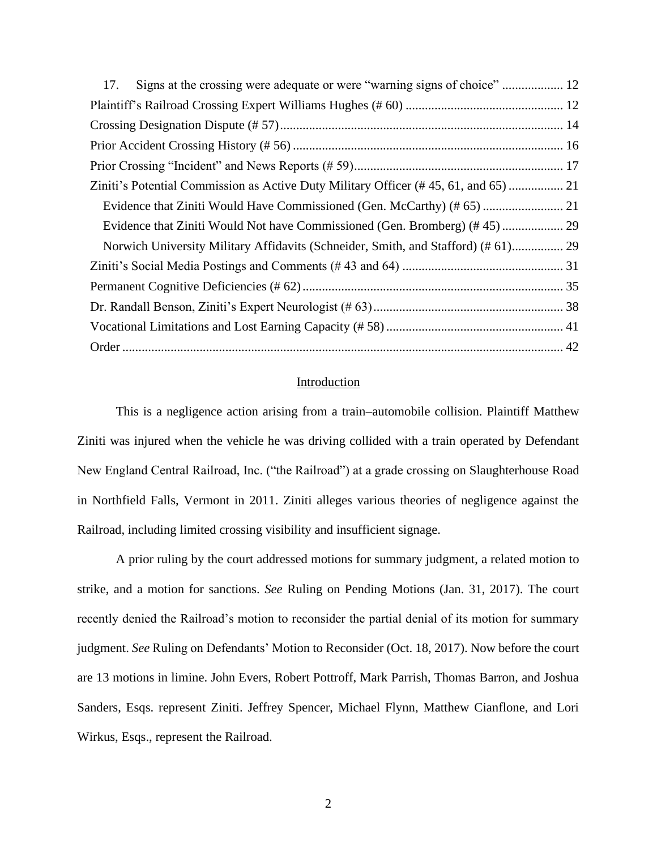| 17.                                                                              |  |
|----------------------------------------------------------------------------------|--|
|                                                                                  |  |
|                                                                                  |  |
|                                                                                  |  |
|                                                                                  |  |
|                                                                                  |  |
|                                                                                  |  |
|                                                                                  |  |
| Norwich University Military Affidavits (Schneider, Smith, and Stafford) (#61) 29 |  |
|                                                                                  |  |
|                                                                                  |  |
|                                                                                  |  |
|                                                                                  |  |
|                                                                                  |  |

# Introduction

<span id="page-1-0"></span>This is a negligence action arising from a train–automobile collision. Plaintiff Matthew Ziniti was injured when the vehicle he was driving collided with a train operated by Defendant New England Central Railroad, Inc. ("the Railroad") at a grade crossing on Slaughterhouse Road in Northfield Falls, Vermont in 2011. Ziniti alleges various theories of negligence against the Railroad, including limited crossing visibility and insufficient signage.

A prior ruling by the court addressed motions for summary judgment, a related motion to strike, and a motion for sanctions. *See* Ruling on Pending Motions (Jan. 31, 2017). The court recently denied the Railroad's motion to reconsider the partial denial of its motion for summary judgment. *See* Ruling on Defendants' Motion to Reconsider (Oct. 18, 2017). Now before the court are 13 motions in limine. John Evers, Robert Pottroff, Mark Parrish, Thomas Barron, and Joshua Sanders, Esqs. represent Ziniti. Jeffrey Spencer, Michael Flynn, Matthew Cianflone, and Lori Wirkus, Esqs., represent the Railroad.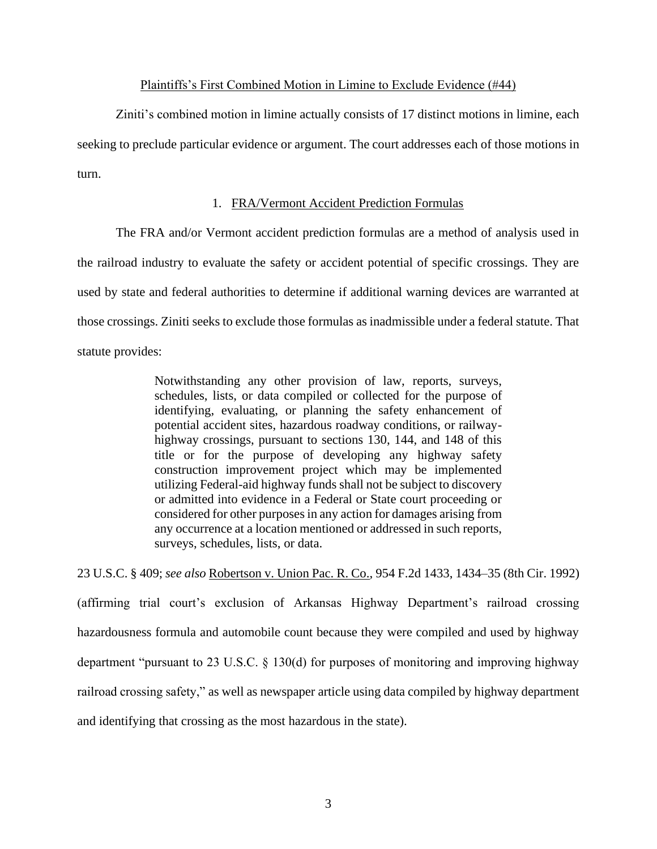# Plaintiffs's First Combined Motion in Limine to Exclude Evidence (#44)

<span id="page-2-0"></span>Ziniti's combined motion in limine actually consists of 17 distinct motions in limine, each seeking to preclude particular evidence or argument. The court addresses each of those motions in turn.

# 1. FRA/Vermont Accident Prediction Formulas

<span id="page-2-1"></span>The FRA and/or Vermont accident prediction formulas are a method of analysis used in the railroad industry to evaluate the safety or accident potential of specific crossings. They are used by state and federal authorities to determine if additional warning devices are warranted at those crossings. Ziniti seeks to exclude those formulas as inadmissible under a federal statute. That statute provides:

> Notwithstanding any other provision of law, reports, surveys, schedules, lists, or data compiled or collected for the purpose of identifying, evaluating, or planning the safety enhancement of potential accident sites, hazardous roadway conditions, or railwayhighway crossings, pursuant to sections 130, 144, and 148 of this title or for the purpose of developing any highway safety construction improvement project which may be implemented utilizing Federal-aid highway funds shall not be subject to discovery or admitted into evidence in a Federal or State court proceeding or considered for other purposes in any action for damages arising from any occurrence at a location mentioned or addressed in such reports, surveys, schedules, lists, or data.

23 U.S.C. § 409; *see also* Robertson v. Union Pac. R. Co., 954 F.2d 1433, 1434–35 (8th Cir. 1992) (affirming trial court's exclusion of Arkansas Highway Department's railroad crossing hazardousness formula and automobile count because they were compiled and used by highway department "pursuant to 23 U.S.C. § 130(d) for purposes of monitoring and improving highway railroad crossing safety," as well as newspaper article using data compiled by highway department and identifying that crossing as the most hazardous in the state).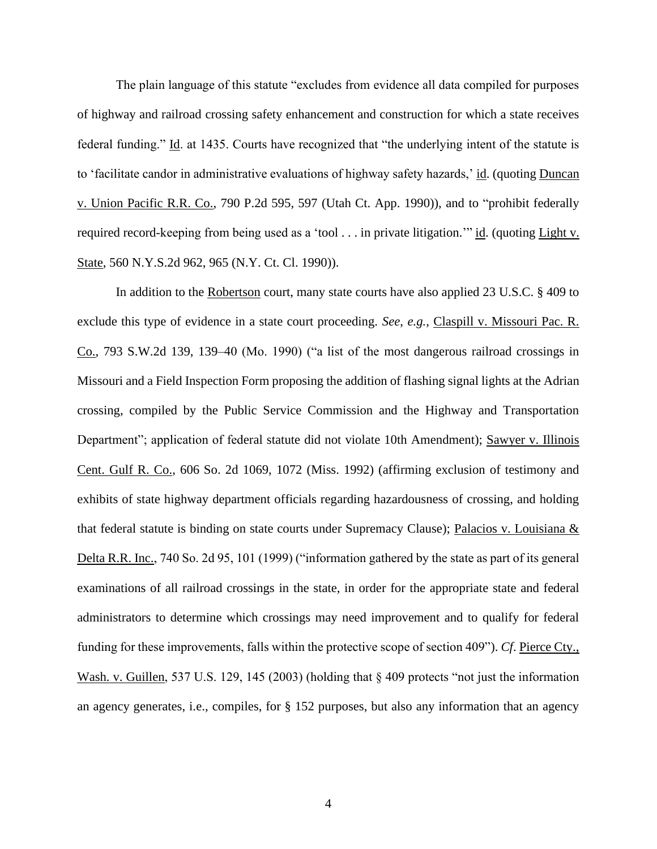The plain language of this statute "excludes from evidence all data compiled for purposes of highway and railroad crossing safety enhancement and construction for which a state receives federal funding." Id. at 1435. Courts have recognized that "the underlying intent of the statute is to 'facilitate candor in administrative evaluations of highway safety hazards,' id. (quoting Duncan v. Union Pacific R.R. Co., 790 P.2d 595, 597 (Utah Ct. App. 1990)), and to "prohibit federally required record-keeping from being used as a 'tool . . . in private litigation." id. (quoting Light v. State, 560 N.Y.S.2d 962, 965 (N.Y. Ct. Cl. 1990)).

In addition to the Robertson court, many state courts have also applied 23 U.S.C. § 409 to exclude this type of evidence in a state court proceeding. *See*, *e.g.*, Claspill v. Missouri Pac. R. Co., 793 S.W.2d 139, 139–40 (Mo. 1990) ("a list of the most dangerous railroad crossings in Missouri and a Field Inspection Form proposing the addition of flashing signal lights at the Adrian crossing, compiled by the Public Service Commission and the Highway and Transportation Department"; application of federal statute did not violate 10th Amendment); Sawyer v. Illinois Cent. Gulf R. Co., 606 So. 2d 1069, 1072 (Miss. 1992) (affirming exclusion of testimony and exhibits of state highway department officials regarding hazardousness of crossing, and holding that federal statute is binding on state courts under Supremacy Clause); Palacios v. Louisiana & Delta R.R. Inc., 740 So. 2d 95, 101 (1999) ("information gathered by the state as part of its general examinations of all railroad crossings in the state, in order for the appropriate state and federal administrators to determine which crossings may need improvement and to qualify for federal funding for these improvements, falls within the protective scope of section 409"). *Cf*. Pierce Cty., Wash. v. Guillen, 537 U.S. 129, 145 (2003) (holding that § 409 protects "not just the information an agency generates, i.e., compiles, for § 152 purposes, but also any information that an agency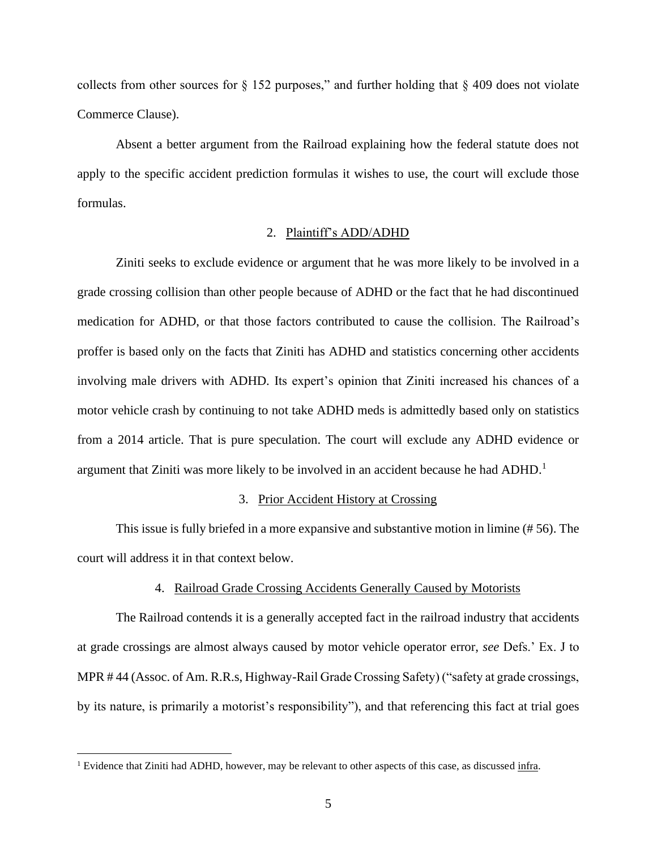collects from other sources for  $\S$  152 purposes," and further holding that  $\S$  409 does not violate Commerce Clause).

Absent a better argument from the Railroad explaining how the federal statute does not apply to the specific accident prediction formulas it wishes to use, the court will exclude those formulas.

# 2. Plaintiff's ADD/ADHD

<span id="page-4-0"></span>Ziniti seeks to exclude evidence or argument that he was more likely to be involved in a grade crossing collision than other people because of ADHD or the fact that he had discontinued medication for ADHD, or that those factors contributed to cause the collision. The Railroad's proffer is based only on the facts that Ziniti has ADHD and statistics concerning other accidents involving male drivers with ADHD. Its expert's opinion that Ziniti increased his chances of a motor vehicle crash by continuing to not take ADHD meds is admittedly based only on statistics from a 2014 article. That is pure speculation. The court will exclude any ADHD evidence or argument that Ziniti was more likely to be involved in an accident because he had ADHD.<sup>1</sup>

### 3. Prior Accident History at Crossing

<span id="page-4-1"></span>This issue is fully briefed in a more expansive and substantive motion in limine (# 56). The court will address it in that context below.

# 4. Railroad Grade Crossing Accidents Generally Caused by Motorists

<span id="page-4-2"></span>The Railroad contends it is a generally accepted fact in the railroad industry that accidents at grade crossings are almost always caused by motor vehicle operator error, *see* Defs.' Ex. J to MPR # 44 (Assoc. of Am. R.R.s, Highway-Rail Grade Crossing Safety) ("safety at grade crossings, by its nature, is primarily a motorist's responsibility"), and that referencing this fact at trial goes

<sup>&</sup>lt;sup>1</sup> Evidence that Ziniti had ADHD, however, may be relevant to other aspects of this case, as discussed infra.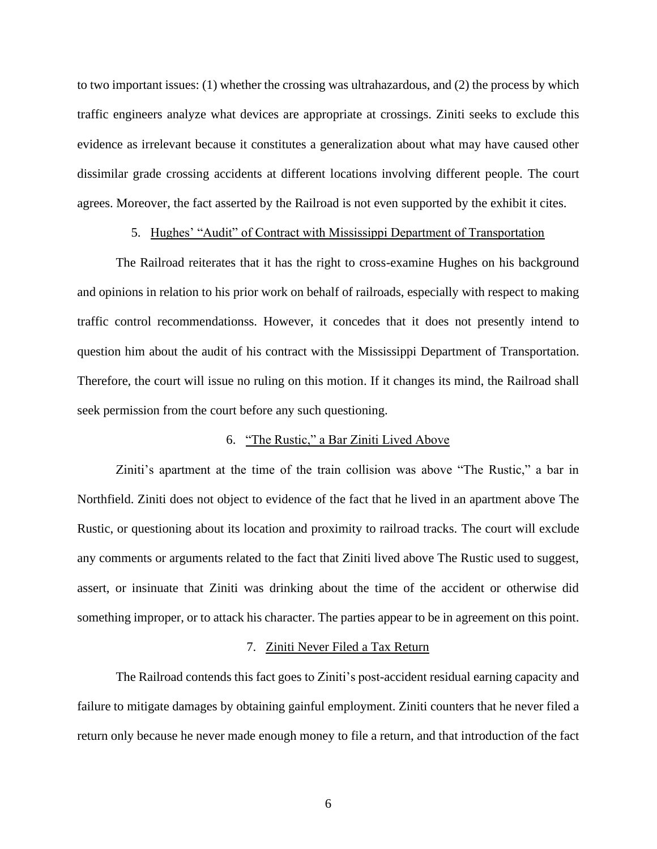to two important issues: (1) whether the crossing was ultrahazardous, and (2) the process by which traffic engineers analyze what devices are appropriate at crossings. Ziniti seeks to exclude this evidence as irrelevant because it constitutes a generalization about what may have caused other dissimilar grade crossing accidents at different locations involving different people. The court agrees. Moreover, the fact asserted by the Railroad is not even supported by the exhibit it cites.

# 5. Hughes' "Audit" of Contract with Mississippi Department of Transportation

<span id="page-5-0"></span>The Railroad reiterates that it has the right to cross-examine Hughes on his background and opinions in relation to his prior work on behalf of railroads, especially with respect to making traffic control recommendationss. However, it concedes that it does not presently intend to question him about the audit of his contract with the Mississippi Department of Transportation. Therefore, the court will issue no ruling on this motion. If it changes its mind, the Railroad shall seek permission from the court before any such questioning.

# 6. "The Rustic," a Bar Ziniti Lived Above

<span id="page-5-1"></span>Ziniti's apartment at the time of the train collision was above "The Rustic," a bar in Northfield. Ziniti does not object to evidence of the fact that he lived in an apartment above The Rustic, or questioning about its location and proximity to railroad tracks. The court will exclude any comments or arguments related to the fact that Ziniti lived above The Rustic used to suggest, assert, or insinuate that Ziniti was drinking about the time of the accident or otherwise did something improper, or to attack his character. The parties appear to be in agreement on this point.

#### 7. Ziniti Never Filed a Tax Return

<span id="page-5-2"></span>The Railroad contends this fact goes to Ziniti's post-accident residual earning capacity and failure to mitigate damages by obtaining gainful employment. Ziniti counters that he never filed a return only because he never made enough money to file a return, and that introduction of the fact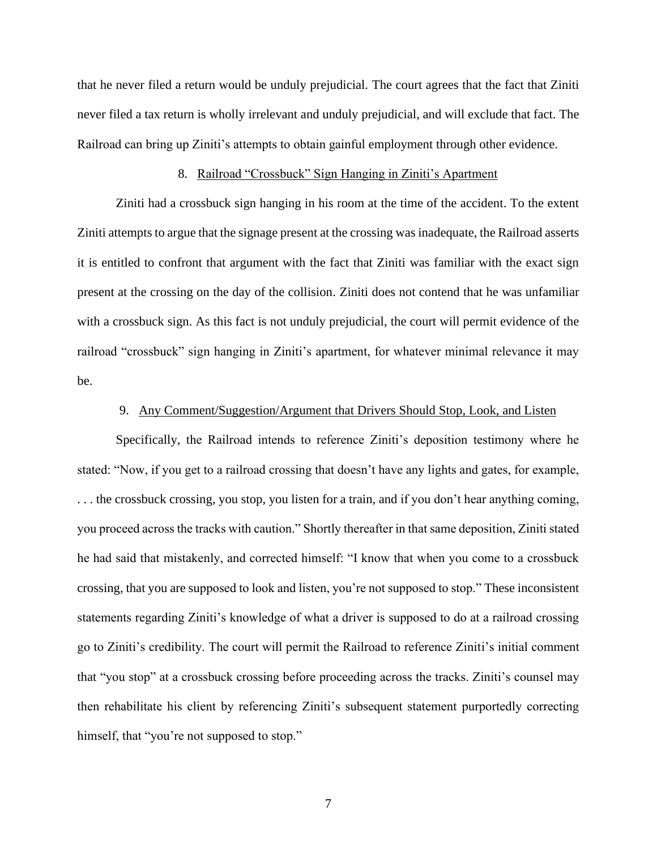that he never filed a return would be unduly prejudicial. The court agrees that the fact that Ziniti never filed a tax return is wholly irrelevant and unduly prejudicial, and will exclude that fact. The Railroad can bring up Ziniti's attempts to obtain gainful employment through other evidence.

# 8. Railroad "Crossbuck" Sign Hanging in Ziniti's Apartment

<span id="page-6-0"></span>Ziniti had a crossbuck sign hanging in his room at the time of the accident. To the extent Ziniti attempts to argue that the signage present at the crossing was inadequate, the Railroad asserts it is entitled to confront that argument with the fact that Ziniti was familiar with the exact sign present at the crossing on the day of the collision. Ziniti does not contend that he was unfamiliar with a crossbuck sign. As this fact is not unduly prejudicial, the court will permit evidence of the railroad "crossbuck" sign hanging in Ziniti's apartment, for whatever minimal relevance it may be.

# 9. Any Comment/Suggestion/Argument that Drivers Should Stop, Look, and Listen

<span id="page-6-1"></span>Specifically, the Railroad intends to reference Ziniti's deposition testimony where he stated: "Now, if you get to a railroad crossing that doesn't have any lights and gates, for example, . . . the crossbuck crossing, you stop, you listen for a train, and if you don't hear anything coming, you proceed across the tracks with caution." Shortly thereafter in that same deposition, Ziniti stated he had said that mistakenly, and corrected himself: "I know that when you come to a crossbuck crossing, that you are supposed to look and listen, you're not supposed to stop." These inconsistent statements regarding Ziniti's knowledge of what a driver is supposed to do at a railroad crossing go to Ziniti's credibility. The court will permit the Railroad to reference Ziniti's initial comment that "you stop" at a crossbuck crossing before proceeding across the tracks. Ziniti's counsel may then rehabilitate his client by referencing Ziniti's subsequent statement purportedly correcting himself, that "you're not supposed to stop."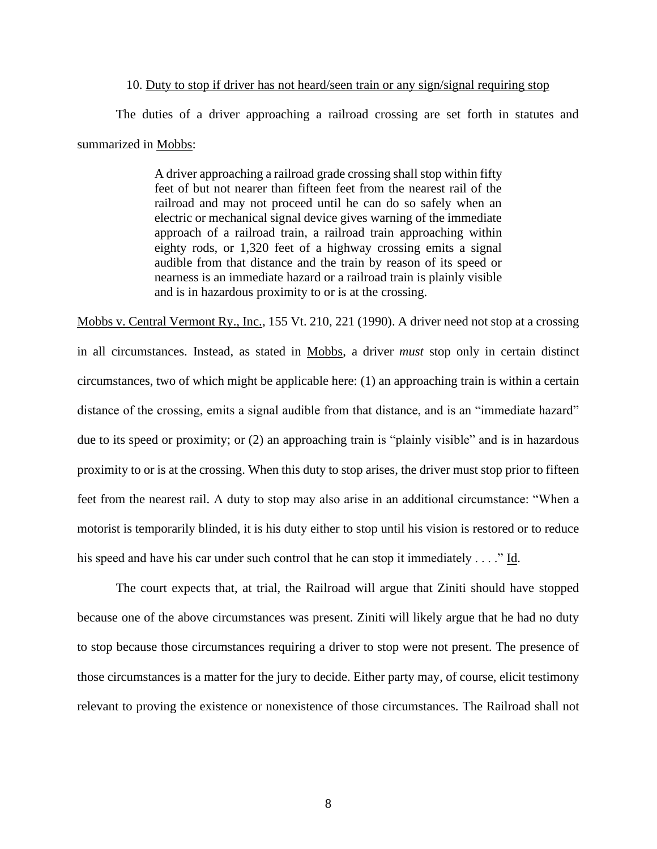### 10. Duty to stop if driver has not heard/seen train or any sign/signal requiring stop

<span id="page-7-0"></span>The duties of a driver approaching a railroad crossing are set forth in statutes and summarized in Mobbs:

> A driver approaching a railroad grade crossing shall stop within fifty feet of but not nearer than fifteen feet from the nearest rail of the railroad and may not proceed until he can do so safely when an electric or mechanical signal device gives warning of the immediate approach of a railroad train, a railroad train approaching within eighty rods, or 1,320 feet of a highway crossing emits a signal audible from that distance and the train by reason of its speed or nearness is an immediate hazard or a railroad train is plainly visible and is in hazardous proximity to or is at the crossing.

Mobbs v. Central Vermont Ry., Inc., 155 Vt. 210, 221 (1990). A driver need not stop at a crossing in all circumstances. Instead, as stated in Mobbs, a driver *must* stop only in certain distinct circumstances, two of which might be applicable here: (1) an approaching train is within a certain distance of the crossing, emits a signal audible from that distance, and is an "immediate hazard" due to its speed or proximity; or (2) an approaching train is "plainly visible" and is in hazardous proximity to or is at the crossing. When this duty to stop arises, the driver must stop prior to fifteen feet from the nearest rail. A duty to stop may also arise in an additional circumstance: "When a motorist is temporarily blinded, it is his duty either to stop until his vision is restored or to reduce his speed and have his car under such control that he can stop it immediately  $\dots$ ." Id.

The court expects that, at trial, the Railroad will argue that Ziniti should have stopped because one of the above circumstances was present. Ziniti will likely argue that he had no duty to stop because those circumstances requiring a driver to stop were not present. The presence of those circumstances is a matter for the jury to decide. Either party may, of course, elicit testimony relevant to proving the existence or nonexistence of those circumstances. The Railroad shall not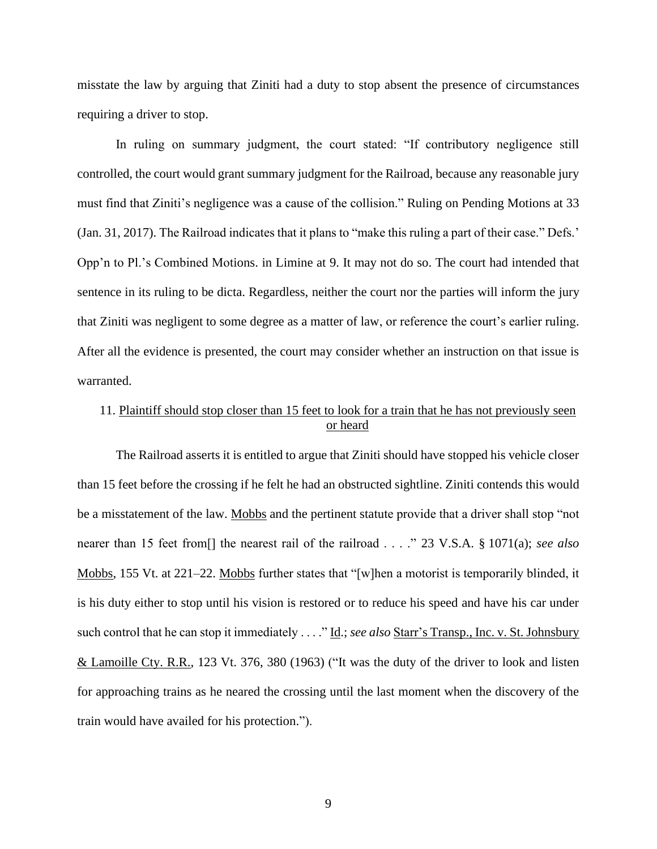misstate the law by arguing that Ziniti had a duty to stop absent the presence of circumstances requiring a driver to stop.

In ruling on summary judgment, the court stated: "If contributory negligence still controlled, the court would grant summary judgment for the Railroad, because any reasonable jury must find that Ziniti's negligence was a cause of the collision." Ruling on Pending Motions at 33 (Jan. 31, 2017). The Railroad indicates that it plans to "make this ruling a part of their case." Defs.' Opp'n to Pl.'s Combined Motions. in Limine at 9. It may not do so. The court had intended that sentence in its ruling to be dicta. Regardless, neither the court nor the parties will inform the jury that Ziniti was negligent to some degree as a matter of law, or reference the court's earlier ruling. After all the evidence is presented, the court may consider whether an instruction on that issue is warranted.

# <span id="page-8-0"></span>11. Plaintiff should stop closer than 15 feet to look for a train that he has not previously seen or heard

The Railroad asserts it is entitled to argue that Ziniti should have stopped his vehicle closer than 15 feet before the crossing if he felt he had an obstructed sightline. Ziniti contends this would be a misstatement of the law. Mobbs and the pertinent statute provide that a driver shall stop "not nearer than 15 feet from[] the nearest rail of the railroad . . . ." 23 V.S.A. § 1071(a); *see also* Mobbs, 155 Vt. at 221–22. Mobbs further states that "[w]hen a motorist is temporarily blinded, it is his duty either to stop until his vision is restored or to reduce his speed and have his car under such control that he can stop it immediately . . . ." Id.; *see also* Starr's Transp., Inc. v. St. Johnsbury & Lamoille Cty. R.R., 123 Vt. 376, 380 (1963) ("It was the duty of the driver to look and listen for approaching trains as he neared the crossing until the last moment when the discovery of the train would have availed for his protection.").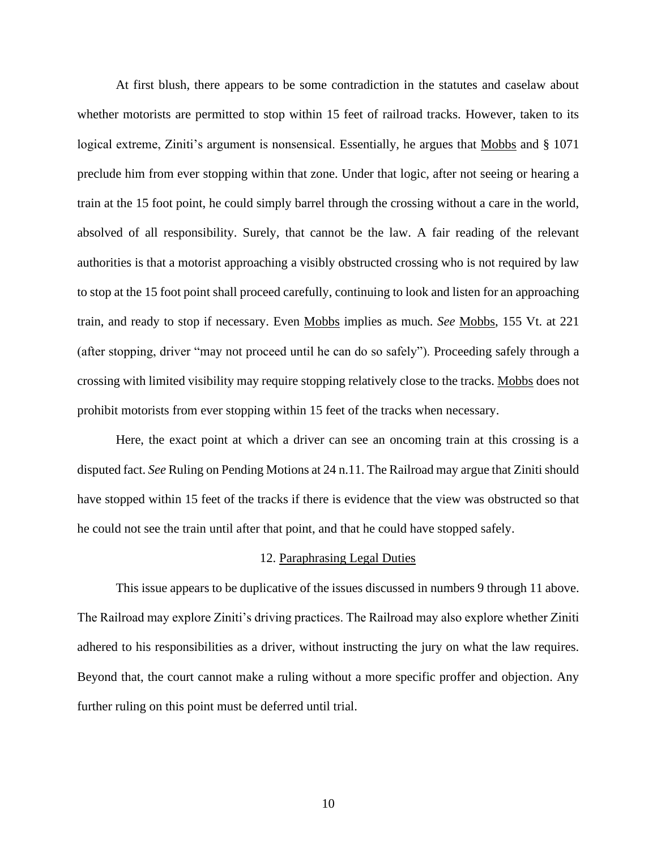At first blush, there appears to be some contradiction in the statutes and caselaw about whether motorists are permitted to stop within 15 feet of railroad tracks. However, taken to its logical extreme, Ziniti's argument is nonsensical. Essentially, he argues that Mobbs and § 1071 preclude him from ever stopping within that zone. Under that logic, after not seeing or hearing a train at the 15 foot point, he could simply barrel through the crossing without a care in the world, absolved of all responsibility. Surely, that cannot be the law. A fair reading of the relevant authorities is that a motorist approaching a visibly obstructed crossing who is not required by law to stop at the 15 foot point shall proceed carefully, continuing to look and listen for an approaching train, and ready to stop if necessary. Even Mobbs implies as much. *See* Mobbs, 155 Vt. at 221 (after stopping, driver "may not proceed until he can do so safely"). Proceeding safely through a crossing with limited visibility may require stopping relatively close to the tracks. Mobbs does not prohibit motorists from ever stopping within 15 feet of the tracks when necessary.

Here, the exact point at which a driver can see an oncoming train at this crossing is a disputed fact. *See* Ruling on Pending Motions at 24 n.11. The Railroad may argue that Ziniti should have stopped within 15 feet of the tracks if there is evidence that the view was obstructed so that he could not see the train until after that point, and that he could have stopped safely.

#### 12. Paraphrasing Legal Duties

<span id="page-9-0"></span>This issue appears to be duplicative of the issues discussed in numbers 9 through 11 above. The Railroad may explore Ziniti's driving practices. The Railroad may also explore whether Ziniti adhered to his responsibilities as a driver, without instructing the jury on what the law requires. Beyond that, the court cannot make a ruling without a more specific proffer and objection. Any further ruling on this point must be deferred until trial.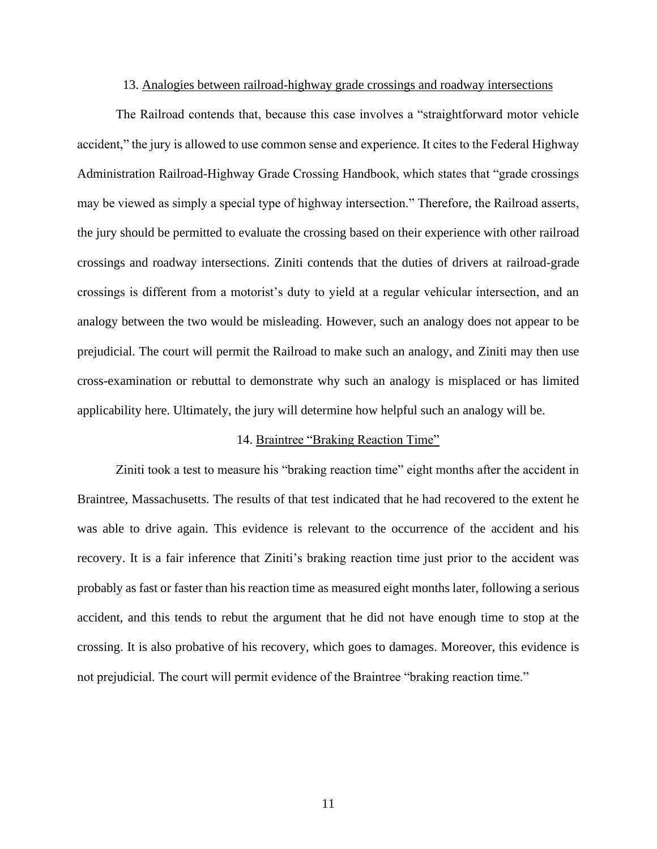## 13. Analogies between railroad-highway grade crossings and roadway intersections

<span id="page-10-0"></span>The Railroad contends that, because this case involves a "straightforward motor vehicle accident," the jury is allowed to use common sense and experience. It cites to the Federal Highway Administration Railroad-Highway Grade Crossing Handbook, which states that "grade crossings may be viewed as simply a special type of highway intersection." Therefore, the Railroad asserts, the jury should be permitted to evaluate the crossing based on their experience with other railroad crossings and roadway intersections. Ziniti contends that the duties of drivers at railroad-grade crossings is different from a motorist's duty to yield at a regular vehicular intersection, and an analogy between the two would be misleading. However, such an analogy does not appear to be prejudicial. The court will permit the Railroad to make such an analogy, and Ziniti may then use cross-examination or rebuttal to demonstrate why such an analogy is misplaced or has limited applicability here. Ultimately, the jury will determine how helpful such an analogy will be.

### 14. Braintree "Braking Reaction Time"

<span id="page-10-1"></span>Ziniti took a test to measure his "braking reaction time" eight months after the accident in Braintree, Massachusetts. The results of that test indicated that he had recovered to the extent he was able to drive again. This evidence is relevant to the occurrence of the accident and his recovery. It is a fair inference that Ziniti's braking reaction time just prior to the accident was probably as fast or faster than his reaction time as measured eight months later, following a serious accident, and this tends to rebut the argument that he did not have enough time to stop at the crossing. It is also probative of his recovery, which goes to damages. Moreover, this evidence is not prejudicial. The court will permit evidence of the Braintree "braking reaction time."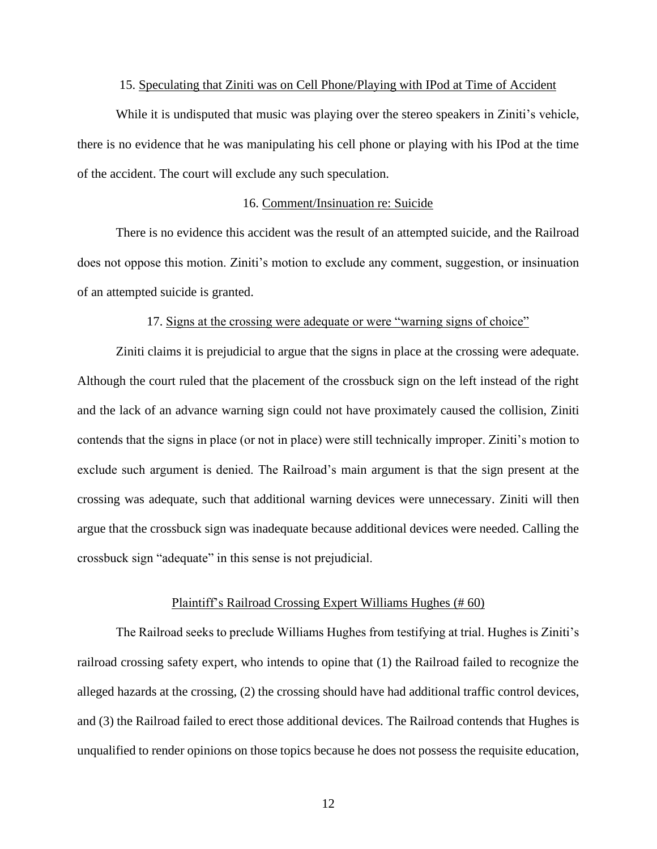## 15. Speculating that Ziniti was on Cell Phone/Playing with IPod at Time of Accident

<span id="page-11-0"></span>While it is undisputed that music was playing over the stereo speakers in Ziniti's vehicle, there is no evidence that he was manipulating his cell phone or playing with his IPod at the time of the accident. The court will exclude any such speculation.

# 16. Comment/Insinuation re: Suicide

<span id="page-11-1"></span>There is no evidence this accident was the result of an attempted suicide, and the Railroad does not oppose this motion. Ziniti's motion to exclude any comment, suggestion, or insinuation of an attempted suicide is granted.

### 17. Signs at the crossing were adequate or were "warning signs of choice"

<span id="page-11-2"></span>Ziniti claims it is prejudicial to argue that the signs in place at the crossing were adequate. Although the court ruled that the placement of the crossbuck sign on the left instead of the right and the lack of an advance warning sign could not have proximately caused the collision, Ziniti contends that the signs in place (or not in place) were still technically improper. Ziniti's motion to exclude such argument is denied. The Railroad's main argument is that the sign present at the crossing was adequate, such that additional warning devices were unnecessary. Ziniti will then argue that the crossbuck sign was inadequate because additional devices were needed. Calling the crossbuck sign "adequate" in this sense is not prejudicial.

#### Plaintiff's Railroad Crossing Expert Williams Hughes (# 60)

<span id="page-11-3"></span>The Railroad seeks to preclude Williams Hughes from testifying at trial. Hughes is Ziniti's railroad crossing safety expert, who intends to opine that (1) the Railroad failed to recognize the alleged hazards at the crossing, (2) the crossing should have had additional traffic control devices, and (3) the Railroad failed to erect those additional devices. The Railroad contends that Hughes is unqualified to render opinions on those topics because he does not possess the requisite education,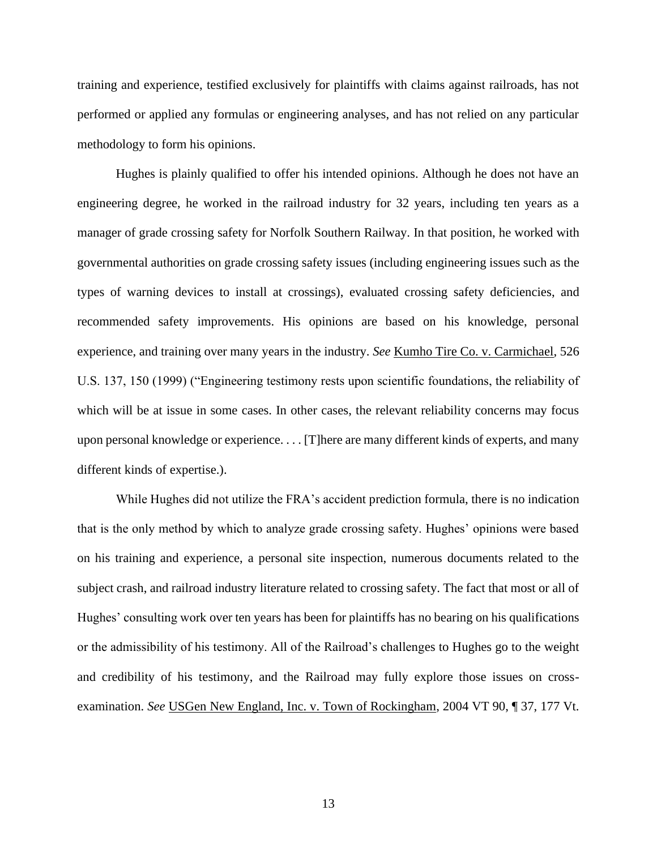training and experience, testified exclusively for plaintiffs with claims against railroads, has not performed or applied any formulas or engineering analyses, and has not relied on any particular methodology to form his opinions.

Hughes is plainly qualified to offer his intended opinions. Although he does not have an engineering degree, he worked in the railroad industry for 32 years, including ten years as a manager of grade crossing safety for Norfolk Southern Railway. In that position, he worked with governmental authorities on grade crossing safety issues (including engineering issues such as the types of warning devices to install at crossings), evaluated crossing safety deficiencies, and recommended safety improvements. His opinions are based on his knowledge, personal experience, and training over many years in the industry. *See* Kumho Tire Co. v. Carmichael, 526 U.S. 137, 150 (1999) ("Engineering testimony rests upon scientific foundations, the reliability of which will be at issue in some cases. In other cases, the relevant reliability concerns may focus upon personal knowledge or experience. . . . [T]here are many different kinds of experts, and many different kinds of expertise.).

While Hughes did not utilize the FRA's accident prediction formula, there is no indication that is the only method by which to analyze grade crossing safety. Hughes' opinions were based on his training and experience, a personal site inspection, numerous documents related to the subject crash, and railroad industry literature related to crossing safety. The fact that most or all of Hughes' consulting work over ten years has been for plaintiffs has no bearing on his qualifications or the admissibility of his testimony. All of the Railroad's challenges to Hughes go to the weight and credibility of his testimony, and the Railroad may fully explore those issues on crossexamination. *See* USGen New England, Inc. v. Town of Rockingham, 2004 VT 90, ¶ 37, 177 Vt.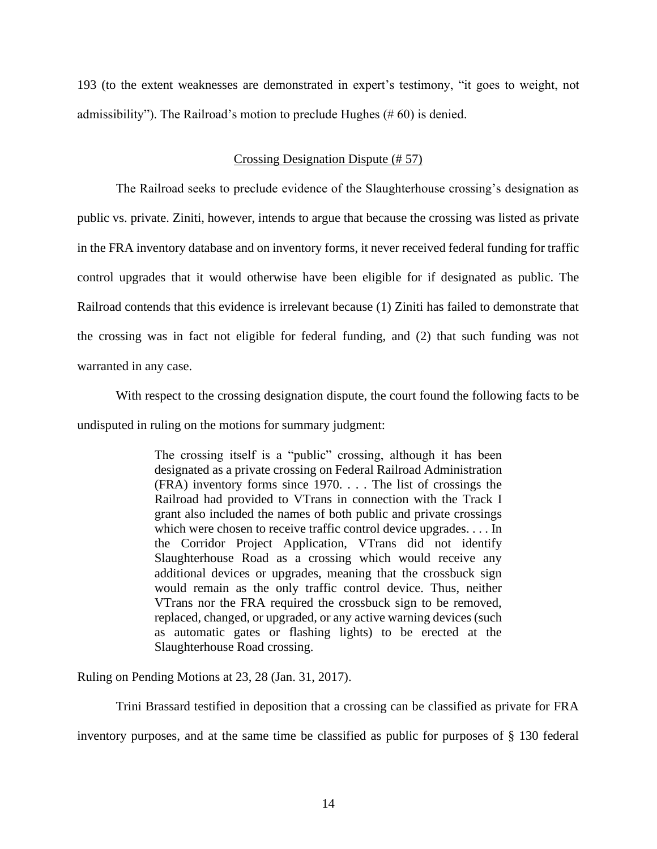193 (to the extent weaknesses are demonstrated in expert's testimony, "it goes to weight, not admissibility"). The Railroad's motion to preclude Hughes (# 60) is denied.

# Crossing Designation Dispute (# 57)

<span id="page-13-0"></span>The Railroad seeks to preclude evidence of the Slaughterhouse crossing's designation as public vs. private. Ziniti, however, intends to argue that because the crossing was listed as private in the FRA inventory database and on inventory forms, it never received federal funding for traffic control upgrades that it would otherwise have been eligible for if designated as public. The Railroad contends that this evidence is irrelevant because (1) Ziniti has failed to demonstrate that the crossing was in fact not eligible for federal funding, and (2) that such funding was not warranted in any case.

With respect to the crossing designation dispute, the court found the following facts to be

undisputed in ruling on the motions for summary judgment:

The crossing itself is a "public" crossing, although it has been designated as a private crossing on Federal Railroad Administration (FRA) inventory forms since 1970. . . . The list of crossings the Railroad had provided to VTrans in connection with the Track I grant also included the names of both public and private crossings which were chosen to receive traffic control device upgrades. . . . In the Corridor Project Application, VTrans did not identify Slaughterhouse Road as a crossing which would receive any additional devices or upgrades, meaning that the crossbuck sign would remain as the only traffic control device. Thus, neither VTrans nor the FRA required the crossbuck sign to be removed, replaced, changed, or upgraded, or any active warning devices (such as automatic gates or flashing lights) to be erected at the Slaughterhouse Road crossing.

Ruling on Pending Motions at 23, 28 (Jan. 31, 2017).

Trini Brassard testified in deposition that a crossing can be classified as private for FRA

inventory purposes, and at the same time be classified as public for purposes of § 130 federal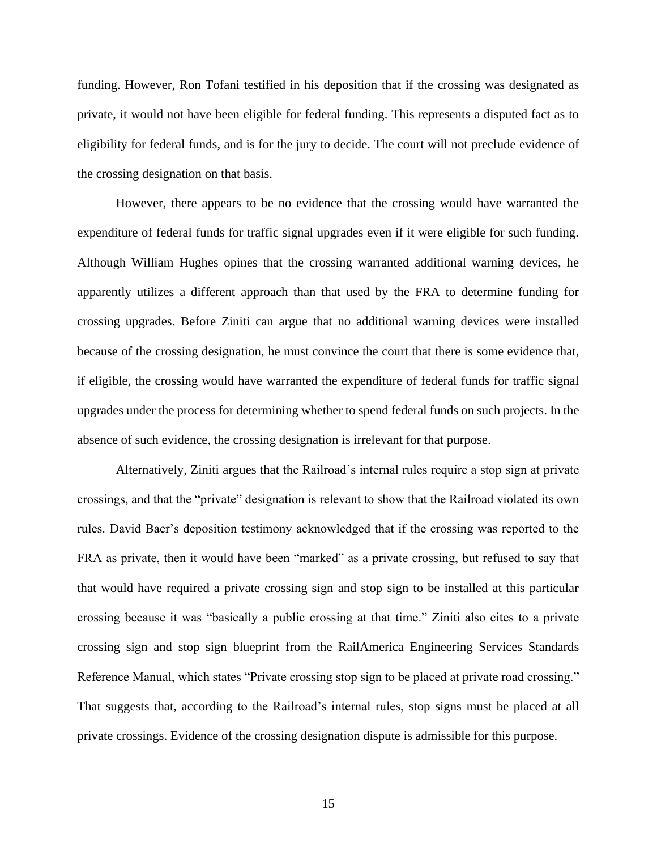funding. However, Ron Tofani testified in his deposition that if the crossing was designated as private, it would not have been eligible for federal funding. This represents a disputed fact as to eligibility for federal funds, and is for the jury to decide. The court will not preclude evidence of the crossing designation on that basis.

However, there appears to be no evidence that the crossing would have warranted the expenditure of federal funds for traffic signal upgrades even if it were eligible for such funding. Although William Hughes opines that the crossing warranted additional warning devices, he apparently utilizes a different approach than that used by the FRA to determine funding for crossing upgrades. Before Ziniti can argue that no additional warning devices were installed because of the crossing designation, he must convince the court that there is some evidence that, if eligible, the crossing would have warranted the expenditure of federal funds for traffic signal upgrades under the process for determining whether to spend federal funds on such projects. In the absence of such evidence, the crossing designation is irrelevant for that purpose.

Alternatively, Ziniti argues that the Railroad's internal rules require a stop sign at private crossings, and that the "private" designation is relevant to show that the Railroad violated its own rules. David Baer's deposition testimony acknowledged that if the crossing was reported to the FRA as private, then it would have been "marked" as a private crossing, but refused to say that that would have required a private crossing sign and stop sign to be installed at this particular crossing because it was "basically a public crossing at that time." Ziniti also cites to a private crossing sign and stop sign blueprint from the RailAmerica Engineering Services Standards Reference Manual, which states "Private crossing stop sign to be placed at private road crossing." That suggests that, according to the Railroad's internal rules, stop signs must be placed at all private crossings. Evidence of the crossing designation dispute is admissible for this purpose.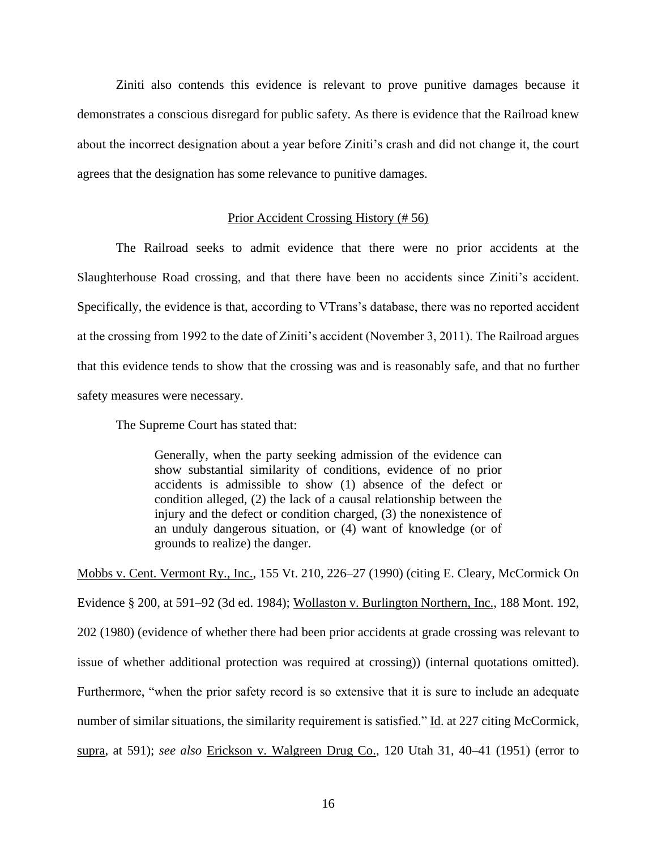Ziniti also contends this evidence is relevant to prove punitive damages because it demonstrates a conscious disregard for public safety. As there is evidence that the Railroad knew about the incorrect designation about a year before Ziniti's crash and did not change it, the court agrees that the designation has some relevance to punitive damages.

### Prior Accident Crossing History (# 56)

<span id="page-15-0"></span>The Railroad seeks to admit evidence that there were no prior accidents at the Slaughterhouse Road crossing, and that there have been no accidents since Ziniti's accident. Specifically, the evidence is that, according to VTrans's database, there was no reported accident at the crossing from 1992 to the date of Ziniti's accident (November 3, 2011). The Railroad argues that this evidence tends to show that the crossing was and is reasonably safe, and that no further safety measures were necessary.

The Supreme Court has stated that:

Generally, when the party seeking admission of the evidence can show substantial similarity of conditions, evidence of no prior accidents is admissible to show (1) absence of the defect or condition alleged, (2) the lack of a causal relationship between the injury and the defect or condition charged, (3) the nonexistence of an unduly dangerous situation, or (4) want of knowledge (or of grounds to realize) the danger.

Mobbs v. Cent. Vermont Ry., Inc., 155 Vt. 210, 226–27 (1990) (citing E. Cleary, McCormick On Evidence § 200, at 591–92 (3d ed. 1984); Wollaston v. Burlington Northern, Inc., 188 Mont. 192, 202 (1980) (evidence of whether there had been prior accidents at grade crossing was relevant to issue of whether additional protection was required at crossing)) (internal quotations omitted). Furthermore, "when the prior safety record is so extensive that it is sure to include an adequate number of similar situations, the similarity requirement is satisfied." Id. at 227 citing McCormick, supra, at 591); *see also* Erickson v. Walgreen Drug Co., 120 Utah 31, 40–41 (1951) (error to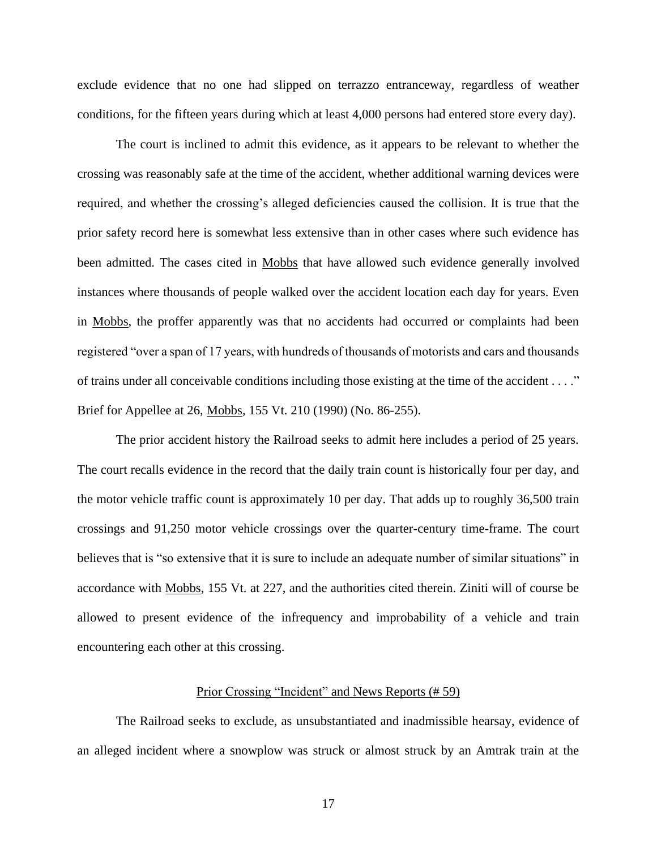exclude evidence that no one had slipped on terrazzo entranceway, regardless of weather conditions, for the fifteen years during which at least 4,000 persons had entered store every day).

The court is inclined to admit this evidence, as it appears to be relevant to whether the crossing was reasonably safe at the time of the accident, whether additional warning devices were required, and whether the crossing's alleged deficiencies caused the collision. It is true that the prior safety record here is somewhat less extensive than in other cases where such evidence has been admitted. The cases cited in Mobbs that have allowed such evidence generally involved instances where thousands of people walked over the accident location each day for years. Even in Mobbs, the proffer apparently was that no accidents had occurred or complaints had been registered "over a span of 17 years, with hundreds of thousands of motorists and cars and thousands of trains under all conceivable conditions including those existing at the time of the accident . . . ." Brief for Appellee at 26, Mobbs, 155 Vt. 210 (1990) (No. 86-255).

The prior accident history the Railroad seeks to admit here includes a period of 25 years. The court recalls evidence in the record that the daily train count is historically four per day, and the motor vehicle traffic count is approximately 10 per day. That adds up to roughly 36,500 train crossings and 91,250 motor vehicle crossings over the quarter-century time-frame. The court believes that is "so extensive that it is sure to include an adequate number of similar situations" in accordance with Mobbs, 155 Vt. at 227, and the authorities cited therein. Ziniti will of course be allowed to present evidence of the infrequency and improbability of a vehicle and train encountering each other at this crossing.

#### Prior Crossing "Incident" and News Reports (# 59)

<span id="page-16-0"></span>The Railroad seeks to exclude, as unsubstantiated and inadmissible hearsay, evidence of an alleged incident where a snowplow was struck or almost struck by an Amtrak train at the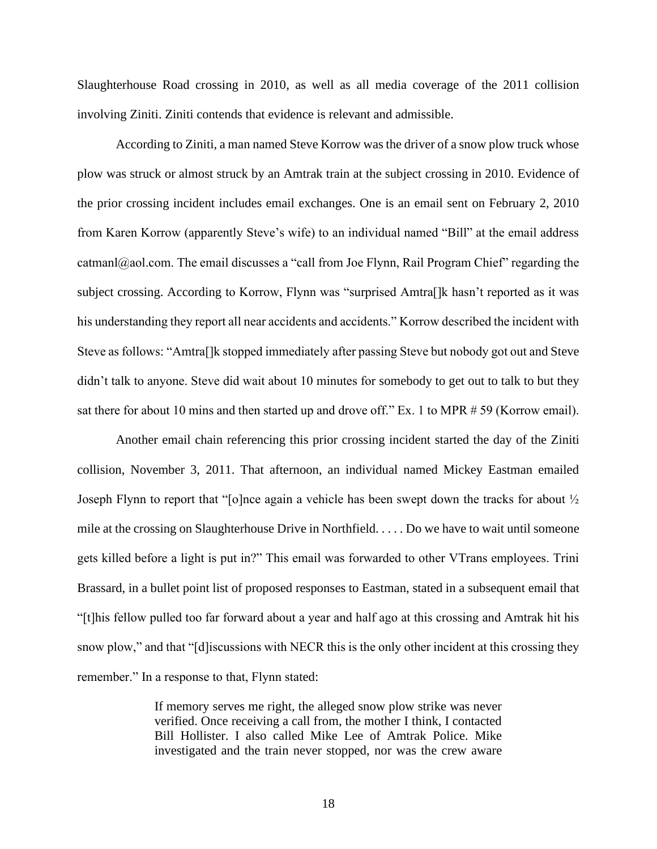Slaughterhouse Road crossing in 2010, as well as all media coverage of the 2011 collision involving Ziniti. Ziniti contends that evidence is relevant and admissible.

According to Ziniti, a man named Steve Korrow was the driver of a snow plow truck whose plow was struck or almost struck by an Amtrak train at the subject crossing in 2010. Evidence of the prior crossing incident includes email exchanges. One is an email sent on February 2, 2010 from Karen Korrow (apparently Steve's wife) to an individual named "Bill" at the email address catmanl@aol.com. The email discusses a "call from Joe Flynn, Rail Program Chief" regarding the subject crossing. According to Korrow, Flynn was "surprised Amtra[]k hasn't reported as it was his understanding they report all near accidents and accidents." Korrow described the incident with Steve as follows: "Amtra[]k stopped immediately after passing Steve but nobody got out and Steve didn't talk to anyone. Steve did wait about 10 minutes for somebody to get out to talk to but they sat there for about 10 mins and then started up and drove off." Ex. 1 to MPR # 59 (Korrow email).

Another email chain referencing this prior crossing incident started the day of the Ziniti collision, November 3, 2011. That afternoon, an individual named Mickey Eastman emailed Joseph Flynn to report that "[o]nce again a vehicle has been swept down the tracks for about ½ mile at the crossing on Slaughterhouse Drive in Northfield. . . . . Do we have to wait until someone gets killed before a light is put in?" This email was forwarded to other VTrans employees. Trini Brassard, in a bullet point list of proposed responses to Eastman, stated in a subsequent email that "[t]his fellow pulled too far forward about a year and half ago at this crossing and Amtrak hit his snow plow," and that "[d]iscussions with NECR this is the only other incident at this crossing they remember." In a response to that, Flynn stated:

> If memory serves me right, the alleged snow plow strike was never verified. Once receiving a call from, the mother I think, I contacted Bill Hollister. I also called Mike Lee of Amtrak Police. Mike investigated and the train never stopped, nor was the crew aware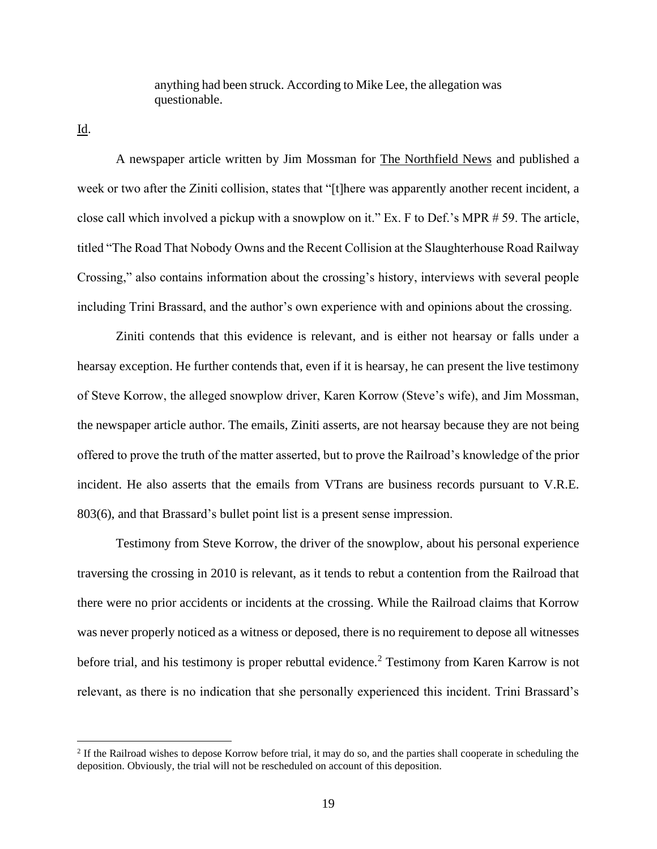anything had been struck. According to Mike Lee, the allegation was questionable.

Id.

A newspaper article written by Jim Mossman for The Northfield News and published a week or two after the Ziniti collision, states that "[t]here was apparently another recent incident, a close call which involved a pickup with a snowplow on it." Ex. F to Def.'s MPR # 59. The article, titled "The Road That Nobody Owns and the Recent Collision at the Slaughterhouse Road Railway Crossing," also contains information about the crossing's history, interviews with several people including Trini Brassard, and the author's own experience with and opinions about the crossing.

Ziniti contends that this evidence is relevant, and is either not hearsay or falls under a hearsay exception. He further contends that, even if it is hearsay, he can present the live testimony of Steve Korrow, the alleged snowplow driver, Karen Korrow (Steve's wife), and Jim Mossman, the newspaper article author. The emails, Ziniti asserts, are not hearsay because they are not being offered to prove the truth of the matter asserted, but to prove the Railroad's knowledge of the prior incident. He also asserts that the emails from VTrans are business records pursuant to V.R.E. 803(6), and that Brassard's bullet point list is a present sense impression.

Testimony from Steve Korrow, the driver of the snowplow, about his personal experience traversing the crossing in 2010 is relevant, as it tends to rebut a contention from the Railroad that there were no prior accidents or incidents at the crossing. While the Railroad claims that Korrow was never properly noticed as a witness or deposed, there is no requirement to depose all witnesses before trial, and his testimony is proper rebuttal evidence.<sup>2</sup> Testimony from Karen Karrow is not relevant, as there is no indication that she personally experienced this incident. Trini Brassard's

 $<sup>2</sup>$  If the Railroad wishes to depose Korrow before trial, it may do so, and the parties shall cooperate in scheduling the</sup> deposition. Obviously, the trial will not be rescheduled on account of this deposition.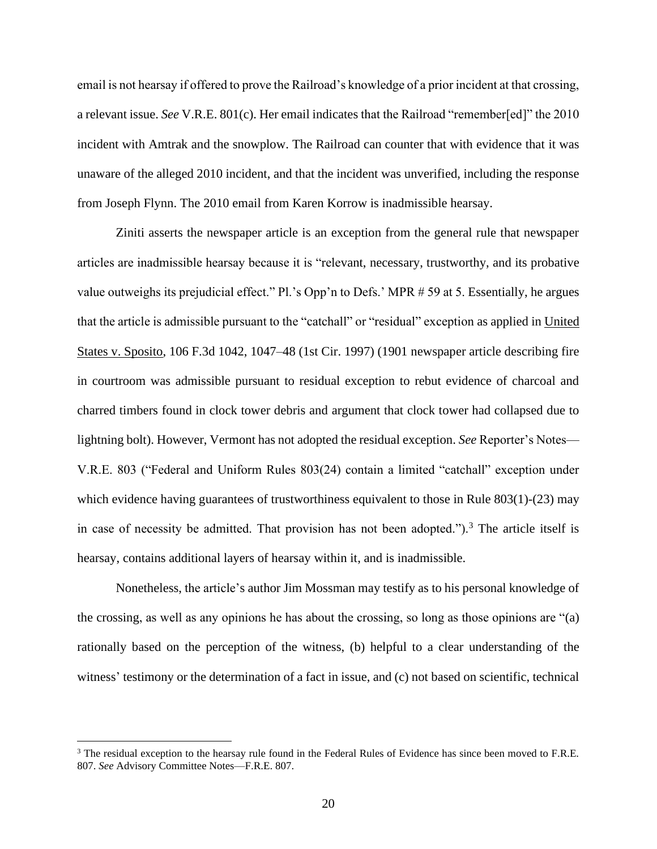email is not hearsay if offered to prove the Railroad's knowledge of a prior incident at that crossing, a relevant issue. *See* V.R.E. 801(c). Her email indicates that the Railroad "remember[ed]" the 2010 incident with Amtrak and the snowplow. The Railroad can counter that with evidence that it was unaware of the alleged 2010 incident, and that the incident was unverified, including the response from Joseph Flynn. The 2010 email from Karen Korrow is inadmissible hearsay.

Ziniti asserts the newspaper article is an exception from the general rule that newspaper articles are inadmissible hearsay because it is "relevant, necessary, trustworthy, and its probative value outweighs its prejudicial effect." Pl.'s Opp'n to Defs.' MPR # 59 at 5. Essentially, he argues that the article is admissible pursuant to the "catchall" or "residual" exception as applied in United States v. Sposito, 106 F.3d 1042, 1047–48 (1st Cir. 1997) (1901 newspaper article describing fire in courtroom was admissible pursuant to residual exception to rebut evidence of charcoal and charred timbers found in clock tower debris and argument that clock tower had collapsed due to lightning bolt). However, Vermont has not adopted the residual exception. *See* Reporter's Notes— V.R.E. 803 ("Federal and Uniform Rules 803(24) contain a limited "catchall" exception under which evidence having guarantees of trustworthiness equivalent to those in Rule 803(1)-(23) may in case of necessity be admitted. That provision has not been adopted.").<sup>3</sup> The article itself is hearsay, contains additional layers of hearsay within it, and is inadmissible.

Nonetheless, the article's author Jim Mossman may testify as to his personal knowledge of the crossing, as well as any opinions he has about the crossing, so long as those opinions are "(a) rationally based on the perception of the witness, (b) helpful to a clear understanding of the witness' testimony or the determination of a fact in issue, and (c) not based on scientific, technical

<sup>&</sup>lt;sup>3</sup> The residual exception to the hearsay rule found in the Federal Rules of Evidence has since been moved to F.R.E. 807. *See* Advisory Committee Notes—F.R.E. 807.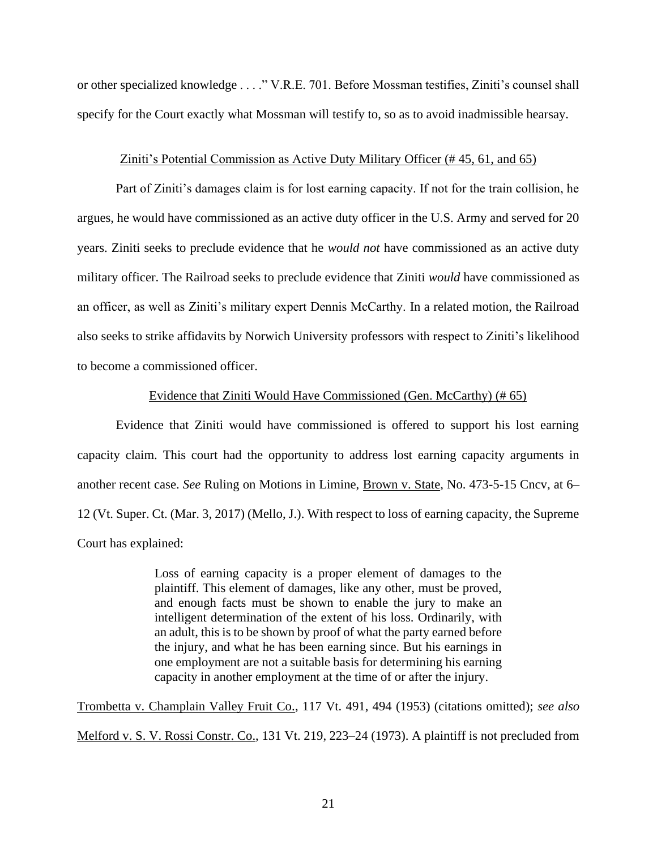or other specialized knowledge . . . ." V.R.E. 701. Before Mossman testifies, Ziniti's counsel shall specify for the Court exactly what Mossman will testify to, so as to avoid inadmissible hearsay.

### Ziniti's Potential Commission as Active Duty Military Officer (# 45, 61, and 65)

<span id="page-20-0"></span>Part of Ziniti's damages claim is for lost earning capacity. If not for the train collision, he argues, he would have commissioned as an active duty officer in the U.S. Army and served for 20 years. Ziniti seeks to preclude evidence that he *would not* have commissioned as an active duty military officer. The Railroad seeks to preclude evidence that Ziniti *would* have commissioned as an officer, as well as Ziniti's military expert Dennis McCarthy. In a related motion, the Railroad also seeks to strike affidavits by Norwich University professors with respect to Ziniti's likelihood to become a commissioned officer.

# Evidence that Ziniti Would Have Commissioned (Gen. McCarthy) (# 65)

<span id="page-20-1"></span>Evidence that Ziniti would have commissioned is offered to support his lost earning capacity claim. This court had the opportunity to address lost earning capacity arguments in another recent case. *See* Ruling on Motions in Limine, Brown v. State, No. 473-5-15 Cncv, at 6– 12 (Vt. Super. Ct. (Mar. 3, 2017) (Mello, J.). With respect to loss of earning capacity, the Supreme Court has explained:

> Loss of earning capacity is a proper element of damages to the plaintiff. This element of damages, like any other, must be proved, and enough facts must be shown to enable the jury to make an intelligent determination of the extent of his loss. Ordinarily, with an adult, this is to be shown by proof of what the party earned before the injury, and what he has been earning since. But his earnings in one employment are not a suitable basis for determining his earning capacity in another employment at the time of or after the injury.

Trombetta v. Champlain Valley Fruit Co., 117 Vt. 491, 494 (1953) (citations omitted); *see also* Melford v. S. V. Rossi Constr. Co., 131 Vt. 219, 223–24 (1973). A plaintiff is not precluded from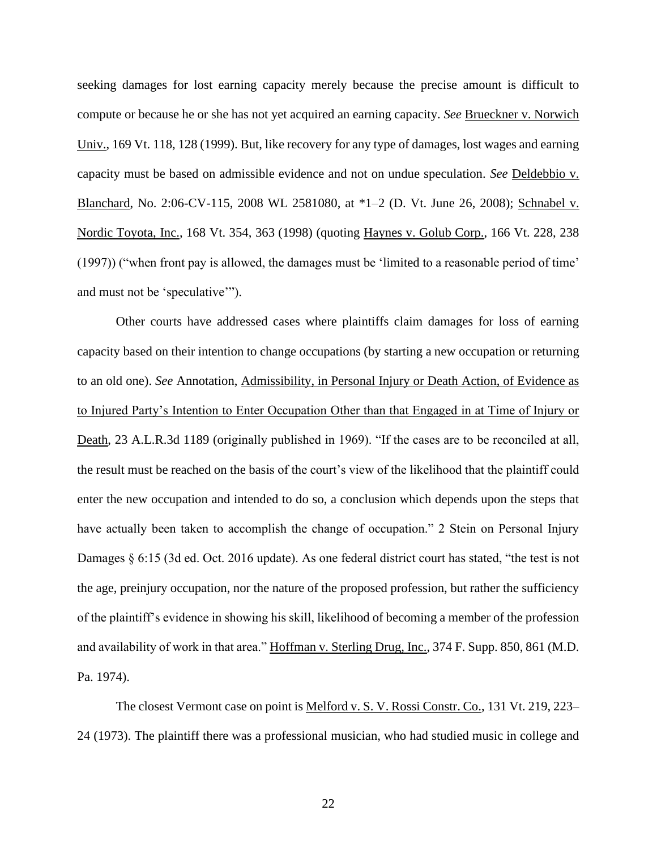seeking damages for lost earning capacity merely because the precise amount is difficult to compute or because he or she has not yet acquired an earning capacity. *See* Brueckner v. Norwich Univ., 169 Vt. 118, 128 (1999). But, like recovery for any type of damages, lost wages and earning capacity must be based on admissible evidence and not on undue speculation. *See* Deldebbio v. Blanchard, No. 2:06-CV-115, 2008 WL 2581080, at \*1–2 (D. Vt. June 26, 2008); Schnabel v. Nordic Toyota, Inc., 168 Vt. 354, 363 (1998) (quoting Haynes v. Golub Corp., 166 Vt. 228, 238 (1997)) ("when front pay is allowed, the damages must be 'limited to a reasonable period of time' and must not be 'speculative'").

Other courts have addressed cases where plaintiffs claim damages for loss of earning capacity based on their intention to change occupations (by starting a new occupation or returning to an old one). *See* Annotation, Admissibility, in Personal Injury or Death Action, of Evidence as to Injured Party's Intention to Enter Occupation Other than that Engaged in at Time of Injury or Death, 23 A.L.R.3d 1189 (originally published in 1969). "If the cases are to be reconciled at all, the result must be reached on the basis of the court's view of the likelihood that the plaintiff could enter the new occupation and intended to do so, a conclusion which depends upon the steps that have actually been taken to accomplish the change of occupation." 2 Stein on Personal Injury Damages § 6:15 (3d ed. Oct. 2016 update). As one federal district court has stated, "the test is not the age, preinjury occupation, nor the nature of the proposed profession, but rather the sufficiency of the plaintiff's evidence in showing his skill, likelihood of becoming a member of the profession and availability of work in that area." Hoffman v. Sterling Drug, Inc., 374 F. Supp. 850, 861 (M.D. Pa. 1974).

The closest Vermont case on point is Melford v. S. V. Rossi Constr. Co., 131 Vt. 219, 223– 24 (1973). The plaintiff there was a professional musician, who had studied music in college and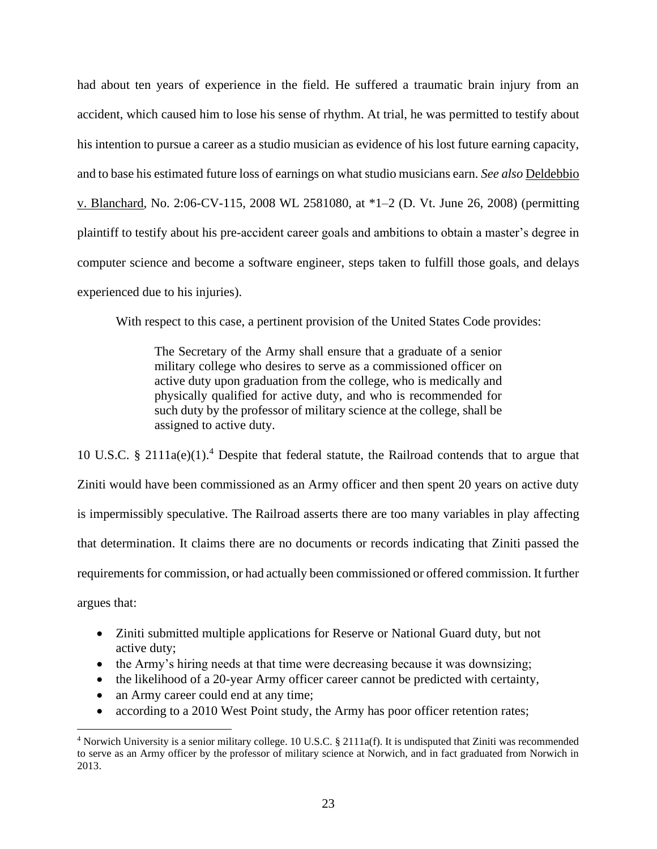had about ten years of experience in the field. He suffered a traumatic brain injury from an accident, which caused him to lose his sense of rhythm. At trial, he was permitted to testify about his intention to pursue a career as a studio musician as evidence of his lost future earning capacity, and to base his estimated future loss of earnings on what studio musicians earn. *See also* Deldebbio v. Blanchard, No. 2:06-CV-115, 2008 WL 2581080, at \*1–2 (D. Vt. June 26, 2008) (permitting plaintiff to testify about his pre-accident career goals and ambitions to obtain a master's degree in computer science and become a software engineer, steps taken to fulfill those goals, and delays experienced due to his injuries).

With respect to this case, a pertinent provision of the United States Code provides:

The Secretary of the Army shall ensure that a graduate of a senior military college who desires to serve as a commissioned officer on active duty upon graduation from the college, who is medically and physically qualified for active duty, and who is recommended for such duty by the professor of military science at the college, shall be assigned to active duty.

10 U.S.C. § 2111a(e)(1).<sup>4</sup> Despite that federal statute, the Railroad contends that to argue that Ziniti would have been commissioned as an Army officer and then spent 20 years on active duty is impermissibly speculative. The Railroad asserts there are too many variables in play affecting that determination. It claims there are no documents or records indicating that Ziniti passed the requirements for commission, or had actually been commissioned or offered commission. It further argues that:

- Ziniti submitted multiple applications for Reserve or National Guard duty, but not active duty;
- the Army's hiring needs at that time were decreasing because it was downsizing;
- the likelihood of a 20-year Army officer career cannot be predicted with certainty,
- an Army career could end at any time;
- according to a 2010 West Point study, the Army has poor officer retention rates;

<sup>4</sup> Norwich University is a senior military college. 10 U.S.C. § 2111a(f). It is undisputed that Ziniti was recommended to serve as an Army officer by the professor of military science at Norwich, and in fact graduated from Norwich in 2013.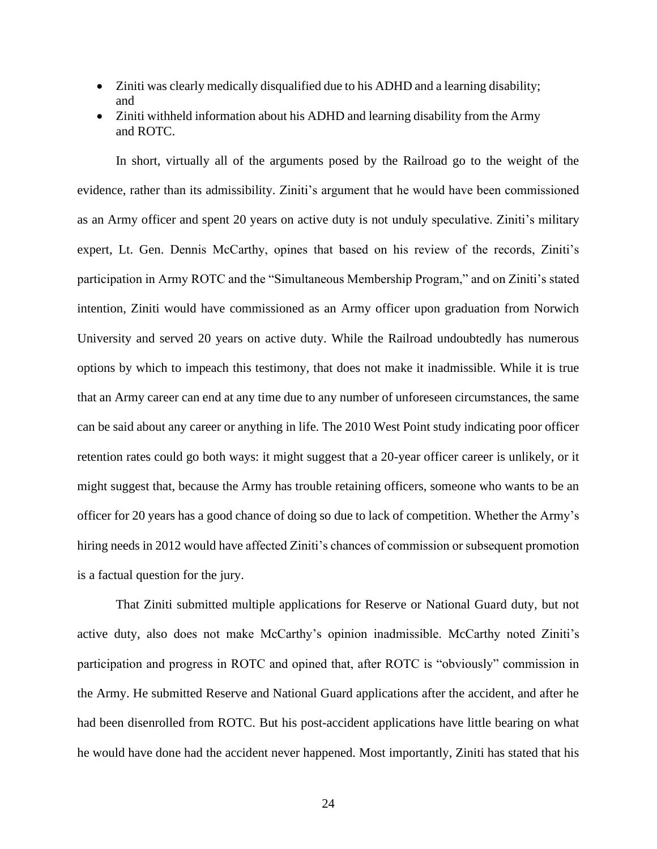- Ziniti was clearly medically disqualified due to his ADHD and a learning disability; and
- Ziniti withheld information about his ADHD and learning disability from the Army and ROTC.

In short, virtually all of the arguments posed by the Railroad go to the weight of the evidence, rather than its admissibility. Ziniti's argument that he would have been commissioned as an Army officer and spent 20 years on active duty is not unduly speculative. Ziniti's military expert, Lt. Gen. Dennis McCarthy, opines that based on his review of the records, Ziniti's participation in Army ROTC and the "Simultaneous Membership Program," and on Ziniti's stated intention, Ziniti would have commissioned as an Army officer upon graduation from Norwich University and served 20 years on active duty. While the Railroad undoubtedly has numerous options by which to impeach this testimony, that does not make it inadmissible. While it is true that an Army career can end at any time due to any number of unforeseen circumstances, the same can be said about any career or anything in life. The 2010 West Point study indicating poor officer retention rates could go both ways: it might suggest that a 20-year officer career is unlikely, or it might suggest that, because the Army has trouble retaining officers, someone who wants to be an officer for 20 years has a good chance of doing so due to lack of competition. Whether the Army's hiring needs in 2012 would have affected Ziniti's chances of commission or subsequent promotion is a factual question for the jury.

That Ziniti submitted multiple applications for Reserve or National Guard duty, but not active duty, also does not make McCarthy's opinion inadmissible. McCarthy noted Ziniti's participation and progress in ROTC and opined that, after ROTC is "obviously" commission in the Army. He submitted Reserve and National Guard applications after the accident, and after he had been disenrolled from ROTC. But his post-accident applications have little bearing on what he would have done had the accident never happened. Most importantly, Ziniti has stated that his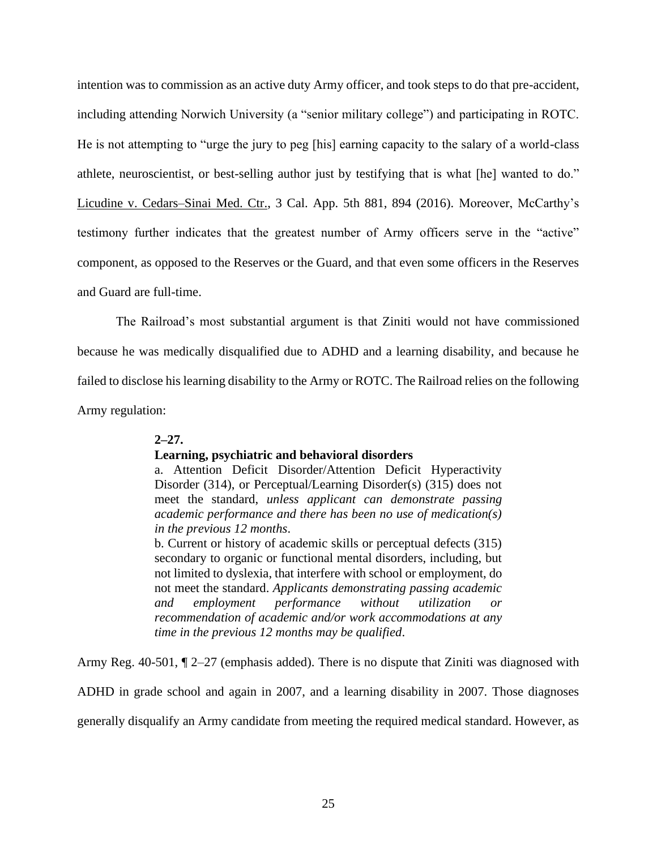intention was to commission as an active duty Army officer, and took steps to do that pre-accident, including attending Norwich University (a "senior military college") and participating in ROTC. He is not attempting to "urge the jury to peg [his] earning capacity to the salary of a world-class athlete, neuroscientist, or best-selling author just by testifying that is what [he] wanted to do." Licudine v. Cedars–Sinai Med. Ctr., 3 Cal. App. 5th 881, 894 (2016). Moreover, McCarthy's testimony further indicates that the greatest number of Army officers serve in the "active" component, as opposed to the Reserves or the Guard, and that even some officers in the Reserves and Guard are full-time.

The Railroad's most substantial argument is that Ziniti would not have commissioned because he was medically disqualified due to ADHD and a learning disability, and because he failed to disclose his learning disability to the Army or ROTC. The Railroad relies on the following Army regulation:

# **2–27.**

# **Learning, psychiatric and behavioral disorders**

a. Attention Deficit Disorder/Attention Deficit Hyperactivity Disorder (314), or Perceptual/Learning Disorder(s) (315) does not meet the standard, *unless applicant can demonstrate passing academic performance and there has been no use of medication(s) in the previous 12 months*.

b. Current or history of academic skills or perceptual defects (315) secondary to organic or functional mental disorders, including, but not limited to dyslexia, that interfere with school or employment, do not meet the standard. *Applicants demonstrating passing academic and* employment performance without utilization *recommendation of academic and/or work accommodations at any time in the previous 12 months may be qualified*.

Army Reg. 40-501, ¶ 2–27 (emphasis added). There is no dispute that Ziniti was diagnosed with

ADHD in grade school and again in 2007, and a learning disability in 2007. Those diagnoses

generally disqualify an Army candidate from meeting the required medical standard. However, as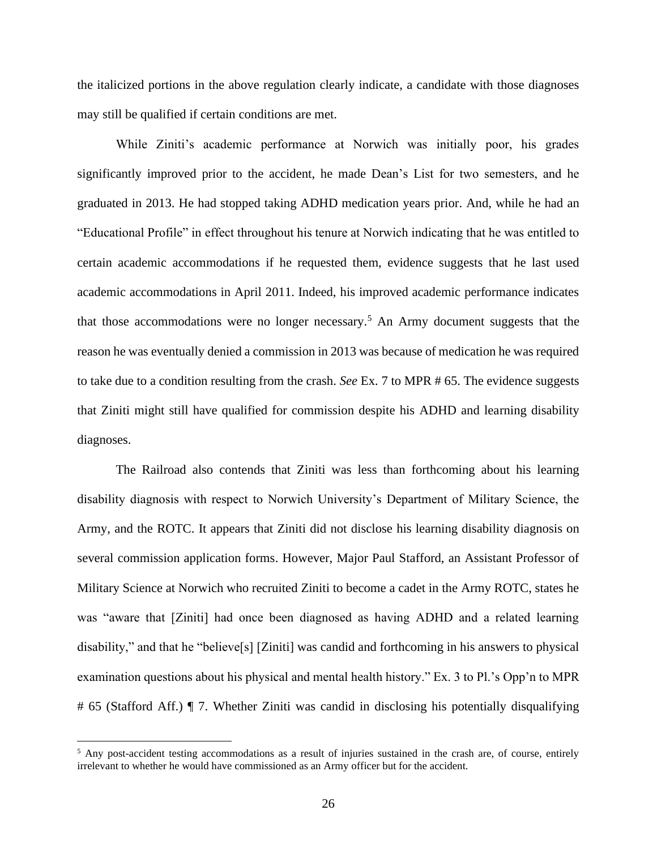the italicized portions in the above regulation clearly indicate, a candidate with those diagnoses may still be qualified if certain conditions are met.

While Ziniti's academic performance at Norwich was initially poor, his grades significantly improved prior to the accident, he made Dean's List for two semesters, and he graduated in 2013. He had stopped taking ADHD medication years prior. And, while he had an "Educational Profile" in effect throughout his tenure at Norwich indicating that he was entitled to certain academic accommodations if he requested them, evidence suggests that he last used academic accommodations in April 2011. Indeed, his improved academic performance indicates that those accommodations were no longer necessary.<sup>5</sup> An Army document suggests that the reason he was eventually denied a commission in 2013 was because of medication he was required to take due to a condition resulting from the crash. *See* Ex. 7 to MPR # 65. The evidence suggests that Ziniti might still have qualified for commission despite his ADHD and learning disability diagnoses.

The Railroad also contends that Ziniti was less than forthcoming about his learning disability diagnosis with respect to Norwich University's Department of Military Science, the Army, and the ROTC. It appears that Ziniti did not disclose his learning disability diagnosis on several commission application forms. However, Major Paul Stafford, an Assistant Professor of Military Science at Norwich who recruited Ziniti to become a cadet in the Army ROTC, states he was "aware that [Ziniti] had once been diagnosed as having ADHD and a related learning disability," and that he "believe[s] [Ziniti] was candid and forthcoming in his answers to physical examination questions about his physical and mental health history." Ex. 3 to Pl.'s Opp'n to MPR # 65 (Stafford Aff.) ¶ 7. Whether Ziniti was candid in disclosing his potentially disqualifying

<sup>&</sup>lt;sup>5</sup> Any post-accident testing accommodations as a result of injuries sustained in the crash are, of course, entirely irrelevant to whether he would have commissioned as an Army officer but for the accident.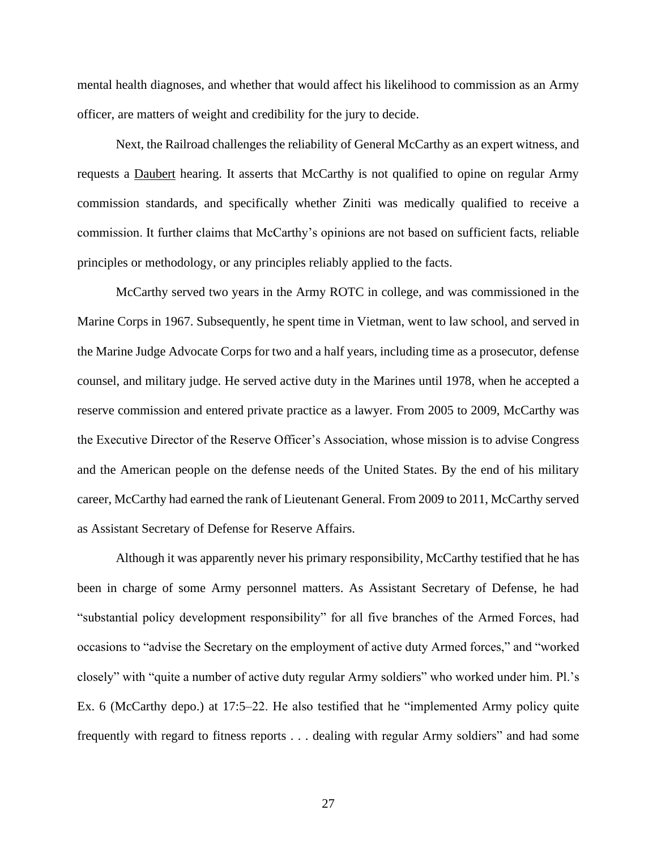mental health diagnoses, and whether that would affect his likelihood to commission as an Army officer, are matters of weight and credibility for the jury to decide.

Next, the Railroad challenges the reliability of General McCarthy as an expert witness, and requests a Daubert hearing. It asserts that McCarthy is not qualified to opine on regular Army commission standards, and specifically whether Ziniti was medically qualified to receive a commission. It further claims that McCarthy's opinions are not based on sufficient facts, reliable principles or methodology, or any principles reliably applied to the facts.

McCarthy served two years in the Army ROTC in college, and was commissioned in the Marine Corps in 1967. Subsequently, he spent time in Vietman, went to law school, and served in the Marine Judge Advocate Corps for two and a half years, including time as a prosecutor, defense counsel, and military judge. He served active duty in the Marines until 1978, when he accepted a reserve commission and entered private practice as a lawyer. From 2005 to 2009, McCarthy was the Executive Director of the Reserve Officer's Association, whose mission is to advise Congress and the American people on the defense needs of the United States. By the end of his military career, McCarthy had earned the rank of Lieutenant General. From 2009 to 2011, McCarthy served as Assistant Secretary of Defense for Reserve Affairs.

Although it was apparently never his primary responsibility, McCarthy testified that he has been in charge of some Army personnel matters. As Assistant Secretary of Defense, he had "substantial policy development responsibility" for all five branches of the Armed Forces, had occasions to "advise the Secretary on the employment of active duty Armed forces," and "worked closely" with "quite a number of active duty regular Army soldiers" who worked under him. Pl.'s Ex. 6 (McCarthy depo.) at 17:5–22. He also testified that he "implemented Army policy quite frequently with regard to fitness reports . . . dealing with regular Army soldiers" and had some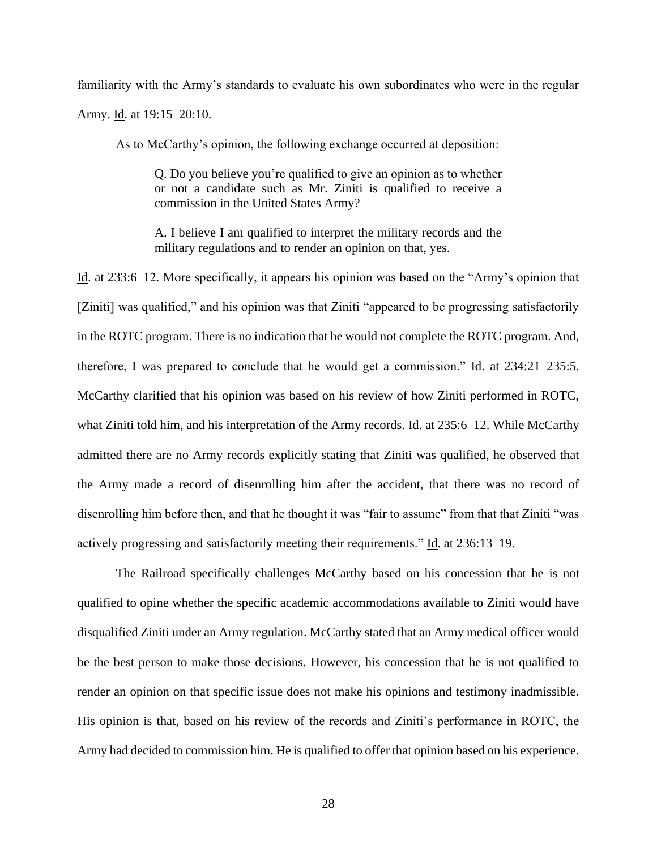familiarity with the Army's standards to evaluate his own subordinates who were in the regular Army. Id. at 19:15–20:10.

As to McCarthy's opinion, the following exchange occurred at deposition:

Q. Do you believe you're qualified to give an opinion as to whether or not a candidate such as Mr. Ziniti is qualified to receive a commission in the United States Army?

A. I believe I am qualified to interpret the military records and the military regulations and to render an opinion on that, yes.

Id. at 233:6–12. More specifically, it appears his opinion was based on the "Army's opinion that [Ziniti] was qualified," and his opinion was that Ziniti "appeared to be progressing satisfactorily in the ROTC program. There is no indication that he would not complete the ROTC program. And, therefore, I was prepared to conclude that he would get a commission." Id. at 234:21–235:5. McCarthy clarified that his opinion was based on his review of how Ziniti performed in ROTC, what Ziniti told him, and his interpretation of the Army records. Id. at 235:6–12. While McCarthy admitted there are no Army records explicitly stating that Ziniti was qualified, he observed that the Army made a record of disenrolling him after the accident, that there was no record of disenrolling him before then, and that he thought it was "fair to assume" from that that Ziniti "was actively progressing and satisfactorily meeting their requirements." Id. at 236:13–19.

The Railroad specifically challenges McCarthy based on his concession that he is not qualified to opine whether the specific academic accommodations available to Ziniti would have disqualified Ziniti under an Army regulation. McCarthy stated that an Army medical officer would be the best person to make those decisions. However, his concession that he is not qualified to render an opinion on that specific issue does not make his opinions and testimony inadmissible. His opinion is that, based on his review of the records and Ziniti's performance in ROTC, the Army had decided to commission him. He is qualified to offer that opinion based on his experience.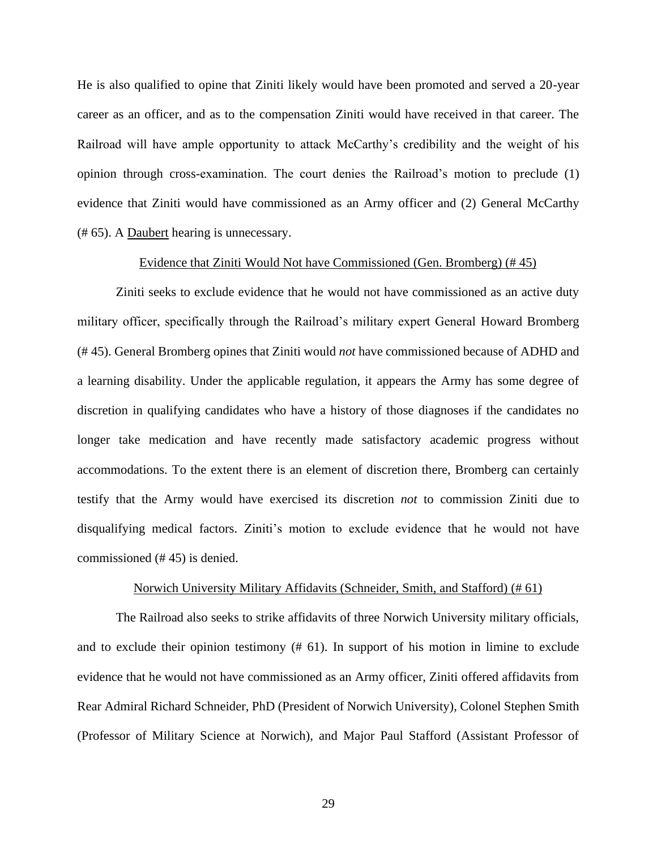He is also qualified to opine that Ziniti likely would have been promoted and served a 20-year career as an officer, and as to the compensation Ziniti would have received in that career. The Railroad will have ample opportunity to attack McCarthy's credibility and the weight of his opinion through cross-examination. The court denies the Railroad's motion to preclude (1) evidence that Ziniti would have commissioned as an Army officer and (2) General McCarthy (# 65). A Daubert hearing is unnecessary.

### Evidence that Ziniti Would Not have Commissioned (Gen. Bromberg) (# 45)

<span id="page-28-0"></span>Ziniti seeks to exclude evidence that he would not have commissioned as an active duty military officer, specifically through the Railroad's military expert General Howard Bromberg (# 45). General Bromberg opines that Ziniti would *not* have commissioned because of ADHD and a learning disability. Under the applicable regulation, it appears the Army has some degree of discretion in qualifying candidates who have a history of those diagnoses if the candidates no longer take medication and have recently made satisfactory academic progress without accommodations. To the extent there is an element of discretion there, Bromberg can certainly testify that the Army would have exercised its discretion *not* to commission Ziniti due to disqualifying medical factors. Ziniti's motion to exclude evidence that he would not have commissioned (# 45) is denied.

### Norwich University Military Affidavits (Schneider, Smith, and Stafford) (# 61)

<span id="page-28-1"></span>The Railroad also seeks to strike affidavits of three Norwich University military officials, and to exclude their opinion testimony (# 61). In support of his motion in limine to exclude evidence that he would not have commissioned as an Army officer, Ziniti offered affidavits from Rear Admiral Richard Schneider, PhD (President of Norwich University), Colonel Stephen Smith (Professor of Military Science at Norwich), and Major Paul Stafford (Assistant Professor of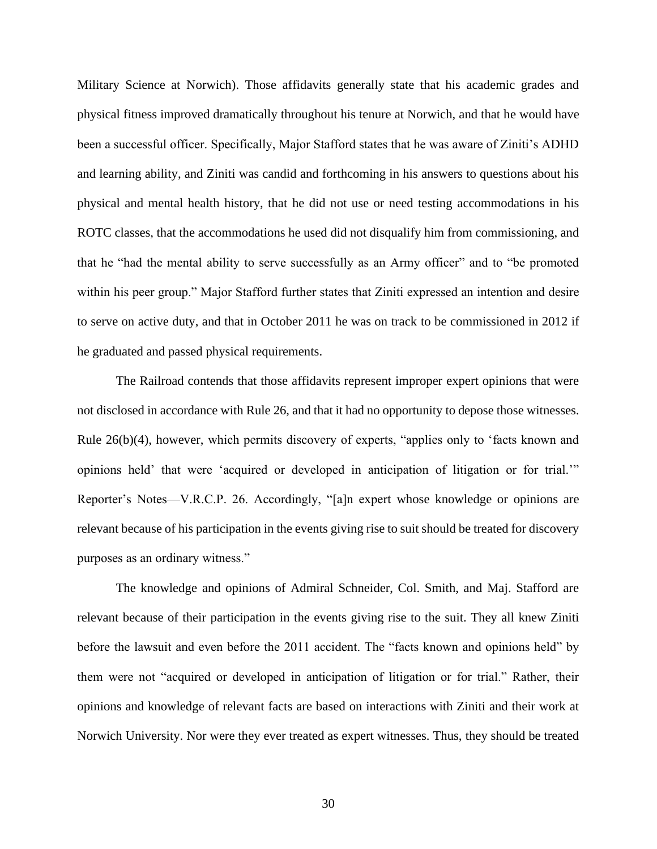Military Science at Norwich). Those affidavits generally state that his academic grades and physical fitness improved dramatically throughout his tenure at Norwich, and that he would have been a successful officer. Specifically, Major Stafford states that he was aware of Ziniti's ADHD and learning ability, and Ziniti was candid and forthcoming in his answers to questions about his physical and mental health history, that he did not use or need testing accommodations in his ROTC classes, that the accommodations he used did not disqualify him from commissioning, and that he "had the mental ability to serve successfully as an Army officer" and to "be promoted within his peer group." Major Stafford further states that Ziniti expressed an intention and desire to serve on active duty, and that in October 2011 he was on track to be commissioned in 2012 if he graduated and passed physical requirements.

The Railroad contends that those affidavits represent improper expert opinions that were not disclosed in accordance with Rule 26, and that it had no opportunity to depose those witnesses. Rule 26(b)(4), however, which permits discovery of experts, "applies only to 'facts known and opinions held' that were 'acquired or developed in anticipation of litigation or for trial.'" Reporter's Notes—V.R.C.P. 26. Accordingly, "[a]n expert whose knowledge or opinions are relevant because of his participation in the events giving rise to suit should be treated for discovery purposes as an ordinary witness."

The knowledge and opinions of Admiral Schneider, Col. Smith, and Maj. Stafford are relevant because of their participation in the events giving rise to the suit. They all knew Ziniti before the lawsuit and even before the 2011 accident. The "facts known and opinions held" by them were not "acquired or developed in anticipation of litigation or for trial." Rather, their opinions and knowledge of relevant facts are based on interactions with Ziniti and their work at Norwich University. Nor were they ever treated as expert witnesses. Thus, they should be treated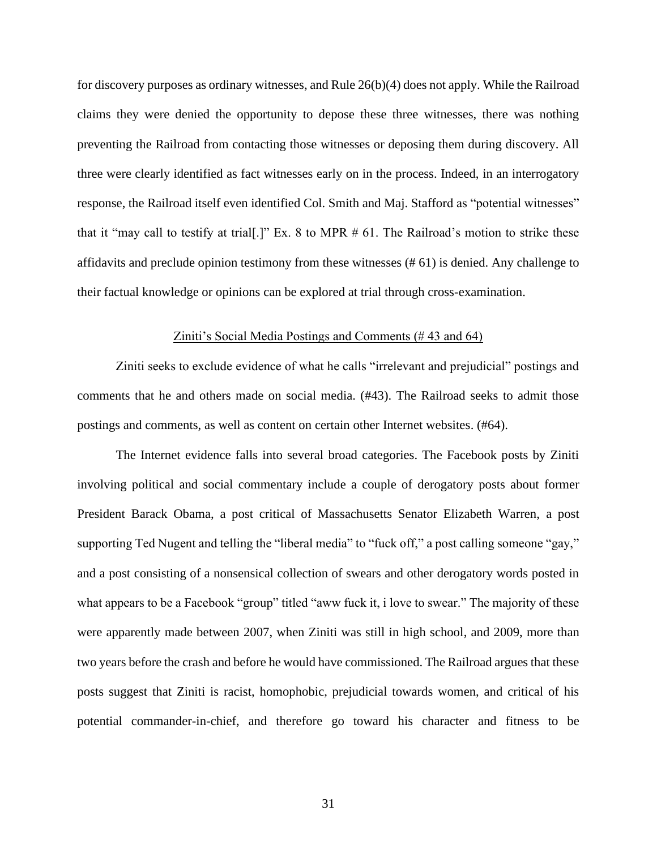for discovery purposes as ordinary witnesses, and Rule 26(b)(4) does not apply. While the Railroad claims they were denied the opportunity to depose these three witnesses, there was nothing preventing the Railroad from contacting those witnesses or deposing them during discovery. All three were clearly identified as fact witnesses early on in the process. Indeed, in an interrogatory response, the Railroad itself even identified Col. Smith and Maj. Stafford as "potential witnesses" that it "may call to testify at trial[.]" Ex. 8 to MPR # 61. The Railroad's motion to strike these affidavits and preclude opinion testimony from these witnesses (# 61) is denied. Any challenge to their factual knowledge or opinions can be explored at trial through cross-examination.

#### Ziniti's Social Media Postings and Comments (# 43 and 64)

<span id="page-30-0"></span>Ziniti seeks to exclude evidence of what he calls "irrelevant and prejudicial" postings and comments that he and others made on social media. (#43). The Railroad seeks to admit those postings and comments, as well as content on certain other Internet websites. (#64).

The Internet evidence falls into several broad categories. The Facebook posts by Ziniti involving political and social commentary include a couple of derogatory posts about former President Barack Obama, a post critical of Massachusetts Senator Elizabeth Warren, a post supporting Ted Nugent and telling the "liberal media" to "fuck off," a post calling someone "gay," and a post consisting of a nonsensical collection of swears and other derogatory words posted in what appears to be a Facebook "group" titled "aww fuck it, i love to swear." The majority of these were apparently made between 2007, when Ziniti was still in high school, and 2009, more than two years before the crash and before he would have commissioned. The Railroad argues that these posts suggest that Ziniti is racist, homophobic, prejudicial towards women, and critical of his potential commander-in-chief, and therefore go toward his character and fitness to be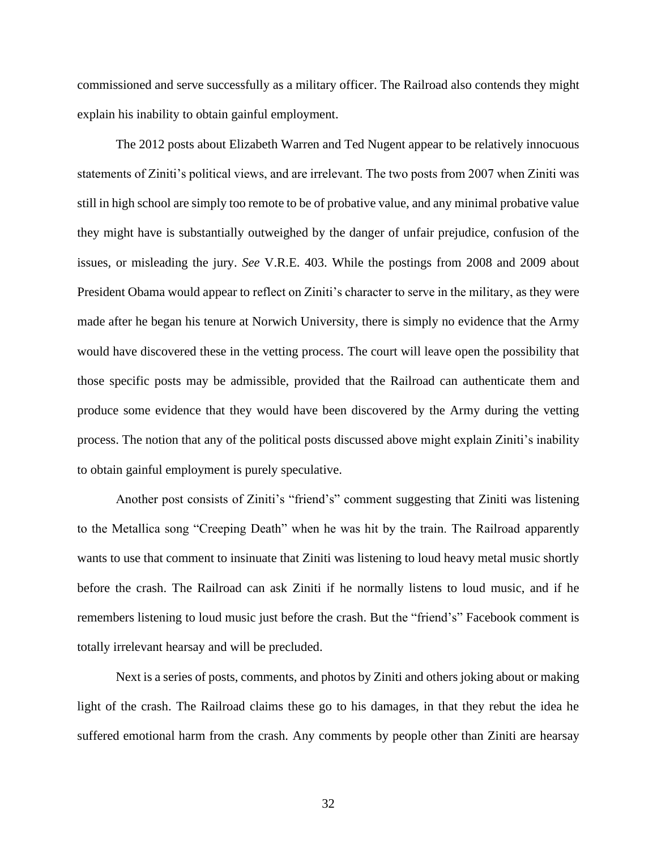commissioned and serve successfully as a military officer. The Railroad also contends they might explain his inability to obtain gainful employment.

The 2012 posts about Elizabeth Warren and Ted Nugent appear to be relatively innocuous statements of Ziniti's political views, and are irrelevant. The two posts from 2007 when Ziniti was still in high school are simply too remote to be of probative value, and any minimal probative value they might have is substantially outweighed by the danger of unfair prejudice, confusion of the issues, or misleading the jury. *See* V.R.E. 403. While the postings from 2008 and 2009 about President Obama would appear to reflect on Ziniti's character to serve in the military, as they were made after he began his tenure at Norwich University, there is simply no evidence that the Army would have discovered these in the vetting process. The court will leave open the possibility that those specific posts may be admissible, provided that the Railroad can authenticate them and produce some evidence that they would have been discovered by the Army during the vetting process. The notion that any of the political posts discussed above might explain Ziniti's inability to obtain gainful employment is purely speculative.

Another post consists of Ziniti's "friend's" comment suggesting that Ziniti was listening to the Metallica song "Creeping Death" when he was hit by the train. The Railroad apparently wants to use that comment to insinuate that Ziniti was listening to loud heavy metal music shortly before the crash. The Railroad can ask Ziniti if he normally listens to loud music, and if he remembers listening to loud music just before the crash. But the "friend's" Facebook comment is totally irrelevant hearsay and will be precluded.

Next is a series of posts, comments, and photos by Ziniti and others joking about or making light of the crash. The Railroad claims these go to his damages, in that they rebut the idea he suffered emotional harm from the crash. Any comments by people other than Ziniti are hearsay

32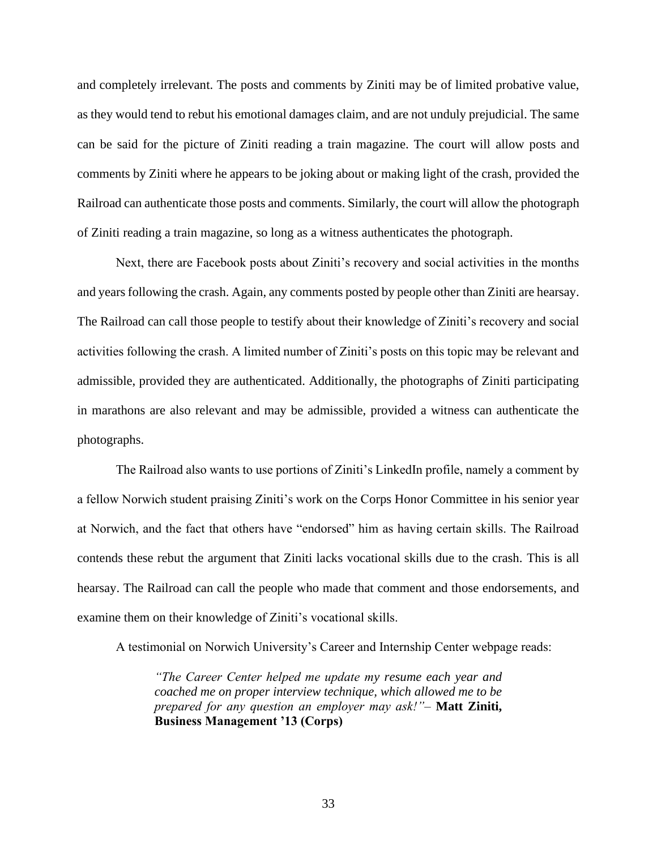and completely irrelevant. The posts and comments by Ziniti may be of limited probative value, as they would tend to rebut his emotional damages claim, and are not unduly prejudicial. The same can be said for the picture of Ziniti reading a train magazine. The court will allow posts and comments by Ziniti where he appears to be joking about or making light of the crash, provided the Railroad can authenticate those posts and comments. Similarly, the court will allow the photograph of Ziniti reading a train magazine, so long as a witness authenticates the photograph.

Next, there are Facebook posts about Ziniti's recovery and social activities in the months and years following the crash. Again, any comments posted by people other than Ziniti are hearsay. The Railroad can call those people to testify about their knowledge of Ziniti's recovery and social activities following the crash. A limited number of Ziniti's posts on this topic may be relevant and admissible, provided they are authenticated. Additionally, the photographs of Ziniti participating in marathons are also relevant and may be admissible, provided a witness can authenticate the photographs.

The Railroad also wants to use portions of Ziniti's LinkedIn profile, namely a comment by a fellow Norwich student praising Ziniti's work on the Corps Honor Committee in his senior year at Norwich, and the fact that others have "endorsed" him as having certain skills. The Railroad contends these rebut the argument that Ziniti lacks vocational skills due to the crash. This is all hearsay. The Railroad can call the people who made that comment and those endorsements, and examine them on their knowledge of Ziniti's vocational skills.

A testimonial on Norwich University's Career and Internship Center webpage reads:

*"The Career Center helped me update my resume each year and coached me on proper interview technique, which allowed me to be prepared for any question an employer may ask!"*– **Matt Ziniti, Business Management '13 (Corps)**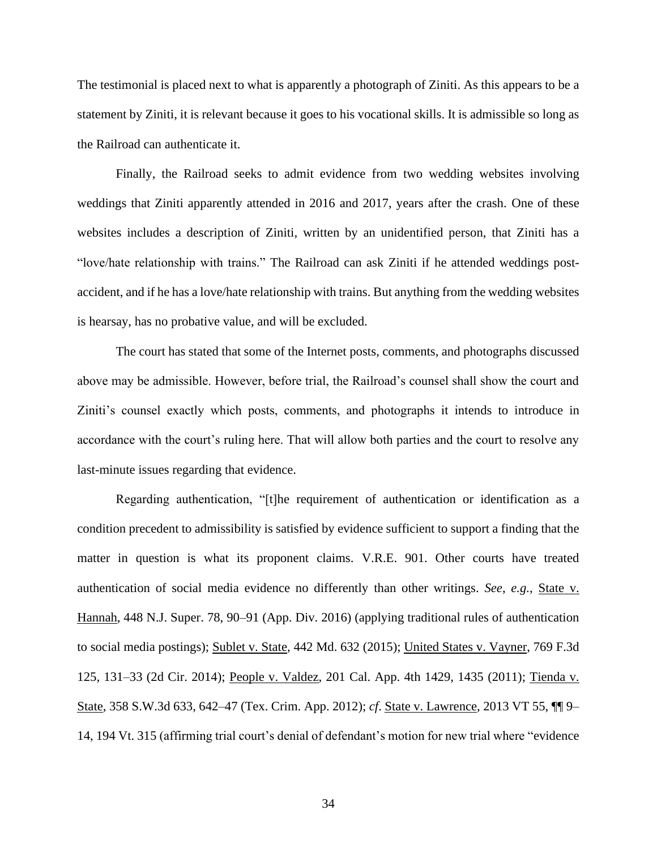The testimonial is placed next to what is apparently a photograph of Ziniti. As this appears to be a statement by Ziniti, it is relevant because it goes to his vocational skills. It is admissible so long as the Railroad can authenticate it.

Finally, the Railroad seeks to admit evidence from two wedding websites involving weddings that Ziniti apparently attended in 2016 and 2017, years after the crash. One of these websites includes a description of Ziniti, written by an unidentified person, that Ziniti has a "love/hate relationship with trains." The Railroad can ask Ziniti if he attended weddings postaccident, and if he has a love/hate relationship with trains. But anything from the wedding websites is hearsay, has no probative value, and will be excluded.

The court has stated that some of the Internet posts, comments, and photographs discussed above may be admissible. However, before trial, the Railroad's counsel shall show the court and Ziniti's counsel exactly which posts, comments, and photographs it intends to introduce in accordance with the court's ruling here. That will allow both parties and the court to resolve any last-minute issues regarding that evidence.

Regarding authentication, "[t]he requirement of authentication or identification as a condition precedent to admissibility is satisfied by evidence sufficient to support a finding that the matter in question is what its proponent claims. V.R.E. 901. Other courts have treated authentication of social media evidence no differently than other writings. *See*, *e.g.*, State v. Hannah, 448 N.J. Super. 78, 90–91 (App. Div. 2016) (applying traditional rules of authentication to social media postings); Sublet v. State, 442 Md. 632 (2015); United States v. Vayner, 769 F.3d 125, 131–33 (2d Cir. 2014); People v. Valdez, 201 Cal. App. 4th 1429, 1435 (2011); Tienda v. State, 358 S.W.3d 633, 642–47 (Tex. Crim. App. 2012); *cf*. State v. Lawrence, 2013 VT 55, ¶¶ 9– 14, 194 Vt. 315 (affirming trial court's denial of defendant's motion for new trial where "evidence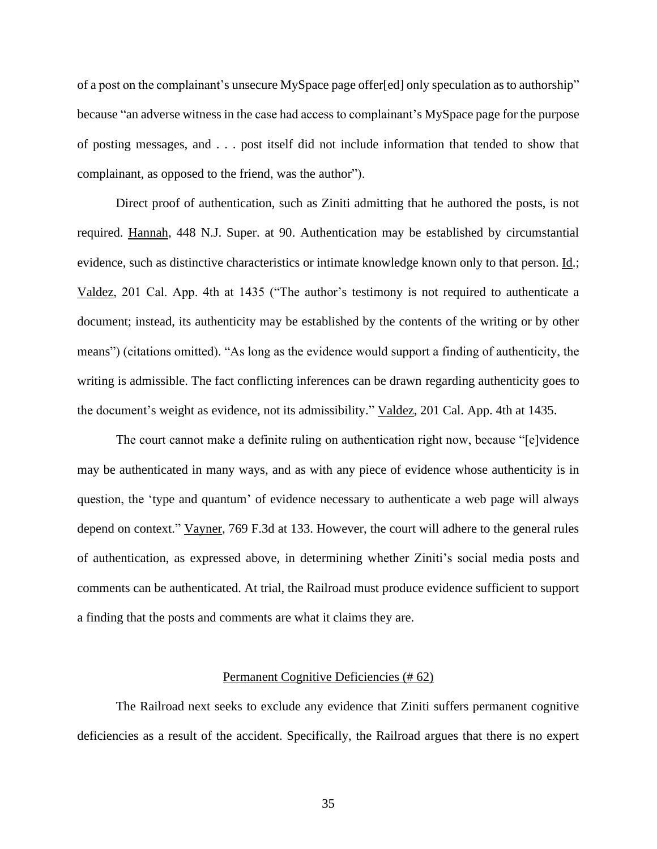of a post on the complainant's unsecure MySpace page offer[ed] only speculation as to authorship" because "an adverse witness in the case had access to complainant's MySpace page for the purpose of posting messages, and . . . post itself did not include information that tended to show that complainant, as opposed to the friend, was the author").

Direct proof of authentication, such as Ziniti admitting that he authored the posts, is not required. Hannah, 448 N.J. Super. at 90. Authentication may be established by circumstantial evidence, such as distinctive characteristics or intimate knowledge known only to that person. Id.; Valdez, 201 Cal. App. 4th at 1435 ("The author's testimony is not required to authenticate a document; instead, its authenticity may be established by the contents of the writing or by other means") (citations omitted). "As long as the evidence would support a finding of authenticity, the writing is admissible. The fact conflicting inferences can be drawn regarding authenticity goes to the document's weight as evidence, not its admissibility." Valdez, 201 Cal. App. 4th at 1435.

The court cannot make a definite ruling on authentication right now, because "[e]vidence may be authenticated in many ways, and as with any piece of evidence whose authenticity is in question, the 'type and quantum' of evidence necessary to authenticate a web page will always depend on context." Vayner, 769 F.3d at 133. However, the court will adhere to the general rules of authentication, as expressed above, in determining whether Ziniti's social media posts and comments can be authenticated. At trial, the Railroad must produce evidence sufficient to support a finding that the posts and comments are what it claims they are.

#### Permanent Cognitive Deficiencies (# 62)

<span id="page-34-0"></span>The Railroad next seeks to exclude any evidence that Ziniti suffers permanent cognitive deficiencies as a result of the accident. Specifically, the Railroad argues that there is no expert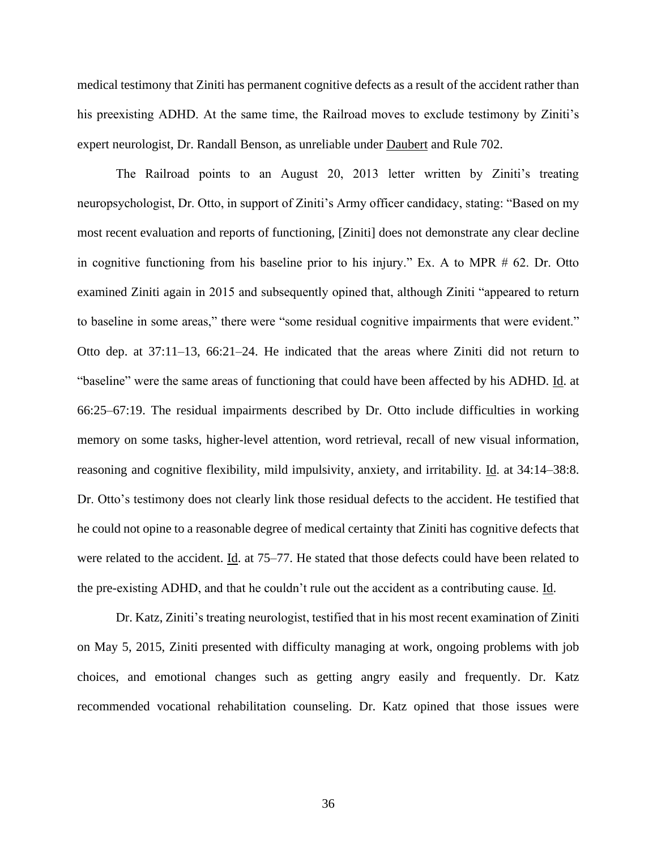medical testimony that Ziniti has permanent cognitive defects as a result of the accident rather than his preexisting ADHD. At the same time, the Railroad moves to exclude testimony by Ziniti's expert neurologist, Dr. Randall Benson, as unreliable under Daubert and Rule 702.

The Railroad points to an August 20, 2013 letter written by Ziniti's treating neuropsychologist, Dr. Otto, in support of Ziniti's Army officer candidacy, stating: "Based on my most recent evaluation and reports of functioning, [Ziniti] does not demonstrate any clear decline in cognitive functioning from his baseline prior to his injury." Ex. A to MPR # 62. Dr. Otto examined Ziniti again in 2015 and subsequently opined that, although Ziniti "appeared to return to baseline in some areas," there were "some residual cognitive impairments that were evident." Otto dep. at 37:11–13, 66:21–24. He indicated that the areas where Ziniti did not return to "baseline" were the same areas of functioning that could have been affected by his ADHD. Id. at 66:25–67:19. The residual impairments described by Dr. Otto include difficulties in working memory on some tasks, higher-level attention, word retrieval, recall of new visual information, reasoning and cognitive flexibility, mild impulsivity, anxiety, and irritability. Id. at 34:14–38:8. Dr. Otto's testimony does not clearly link those residual defects to the accident. He testified that he could not opine to a reasonable degree of medical certainty that Ziniti has cognitive defects that were related to the accident. Id. at 75–77. He stated that those defects could have been related to the pre-existing ADHD, and that he couldn't rule out the accident as a contributing cause. Id.

Dr. Katz, Ziniti's treating neurologist, testified that in his most recent examination of Ziniti on May 5, 2015, Ziniti presented with difficulty managing at work, ongoing problems with job choices, and emotional changes such as getting angry easily and frequently. Dr. Katz recommended vocational rehabilitation counseling. Dr. Katz opined that those issues were

36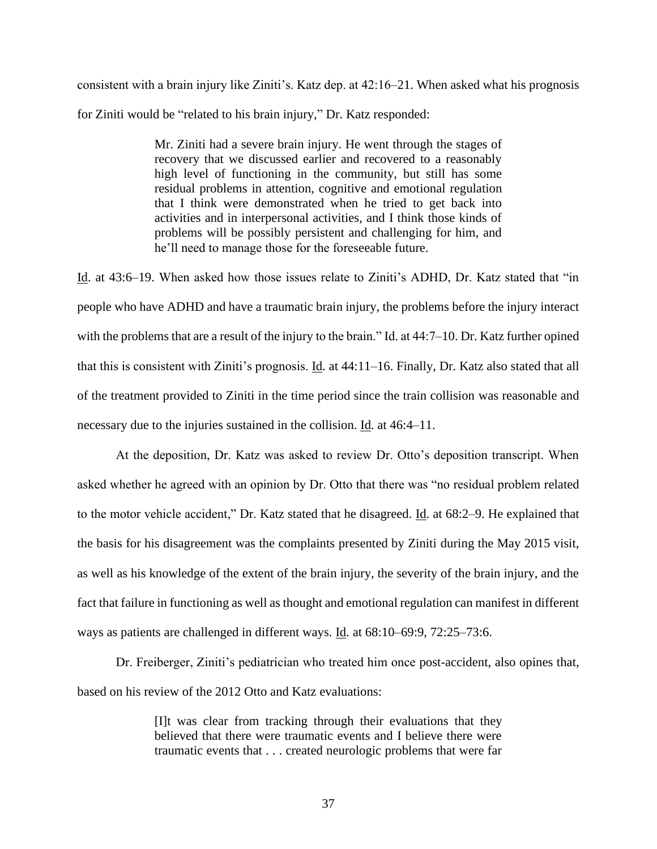consistent with a brain injury like Ziniti's. Katz dep. at 42:16–21. When asked what his prognosis for Ziniti would be "related to his brain injury," Dr. Katz responded:

> Mr. Ziniti had a severe brain injury. He went through the stages of recovery that we discussed earlier and recovered to a reasonably high level of functioning in the community, but still has some residual problems in attention, cognitive and emotional regulation that I think were demonstrated when he tried to get back into activities and in interpersonal activities, and I think those kinds of problems will be possibly persistent and challenging for him, and he'll need to manage those for the foreseeable future.

Id. at 43:6–19. When asked how those issues relate to Ziniti's ADHD, Dr. Katz stated that "in people who have ADHD and have a traumatic brain injury, the problems before the injury interact with the problems that are a result of the injury to the brain." Id. at 44:7–10. Dr. Katz further opined that this is consistent with Ziniti's prognosis. Id. at 44:11–16. Finally, Dr. Katz also stated that all of the treatment provided to Ziniti in the time period since the train collision was reasonable and necessary due to the injuries sustained in the collision. Id. at 46:4–11.

At the deposition, Dr. Katz was asked to review Dr. Otto's deposition transcript. When asked whether he agreed with an opinion by Dr. Otto that there was "no residual problem related to the motor vehicle accident," Dr. Katz stated that he disagreed. Id. at 68:2–9. He explained that the basis for his disagreement was the complaints presented by Ziniti during the May 2015 visit, as well as his knowledge of the extent of the brain injury, the severity of the brain injury, and the fact that failure in functioning as well as thought and emotional regulation can manifest in different ways as patients are challenged in different ways. Id. at 68:10–69:9, 72:25–73:6.

Dr. Freiberger, Ziniti's pediatrician who treated him once post-accident, also opines that, based on his review of the 2012 Otto and Katz evaluations:

> [I]t was clear from tracking through their evaluations that they believed that there were traumatic events and I believe there were traumatic events that . . . created neurologic problems that were far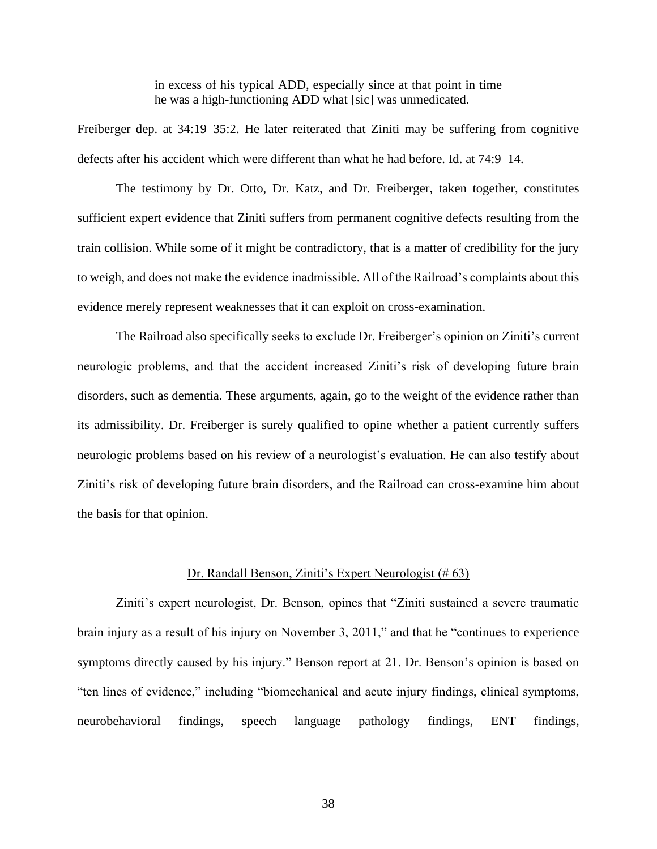in excess of his typical ADD, especially since at that point in time he was a high-functioning ADD what [sic] was unmedicated.

Freiberger dep. at 34:19–35:2. He later reiterated that Ziniti may be suffering from cognitive defects after his accident which were different than what he had before. Id. at 74:9–14.

The testimony by Dr. Otto, Dr. Katz, and Dr. Freiberger, taken together, constitutes sufficient expert evidence that Ziniti suffers from permanent cognitive defects resulting from the train collision. While some of it might be contradictory, that is a matter of credibility for the jury to weigh, and does not make the evidence inadmissible. All of the Railroad's complaints about this evidence merely represent weaknesses that it can exploit on cross-examination.

The Railroad also specifically seeks to exclude Dr. Freiberger's opinion on Ziniti's current neurologic problems, and that the accident increased Ziniti's risk of developing future brain disorders, such as dementia. These arguments, again, go to the weight of the evidence rather than its admissibility. Dr. Freiberger is surely qualified to opine whether a patient currently suffers neurologic problems based on his review of a neurologist's evaluation. He can also testify about Ziniti's risk of developing future brain disorders, and the Railroad can cross-examine him about the basis for that opinion.

#### Dr. Randall Benson, Ziniti's Expert Neurologist (# 63)

<span id="page-37-0"></span>Ziniti's expert neurologist, Dr. Benson, opines that "Ziniti sustained a severe traumatic brain injury as a result of his injury on November 3, 2011," and that he "continues to experience symptoms directly caused by his injury." Benson report at 21. Dr. Benson's opinion is based on "ten lines of evidence," including "biomechanical and acute injury findings, clinical symptoms, neurobehavioral findings, speech language pathology findings, ENT findings,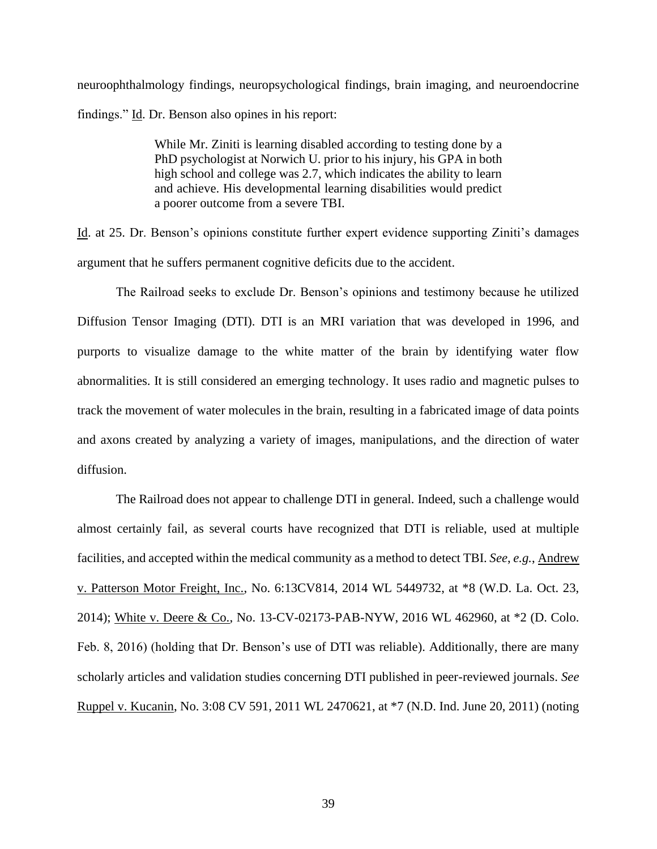neuroophthalmology findings, neuropsychological findings, brain imaging, and neuroendocrine findings." Id. Dr. Benson also opines in his report:

> While Mr. Ziniti is learning disabled according to testing done by a PhD psychologist at Norwich U. prior to his injury, his GPA in both high school and college was 2.7, which indicates the ability to learn and achieve. His developmental learning disabilities would predict a poorer outcome from a severe TBI.

Id. at 25. Dr. Benson's opinions constitute further expert evidence supporting Ziniti's damages argument that he suffers permanent cognitive deficits due to the accident.

The Railroad seeks to exclude Dr. Benson's opinions and testimony because he utilized Diffusion Tensor Imaging (DTI). DTI is an MRI variation that was developed in 1996, and purports to visualize damage to the white matter of the brain by identifying water flow abnormalities. It is still considered an emerging technology. It uses radio and magnetic pulses to track the movement of water molecules in the brain, resulting in a fabricated image of data points and axons created by analyzing a variety of images, manipulations, and the direction of water diffusion.

The Railroad does not appear to challenge DTI in general. Indeed, such a challenge would almost certainly fail, as several courts have recognized that DTI is reliable, used at multiple facilities, and accepted within the medical community as a method to detect TBI. *See*, *e.g.*, Andrew v. Patterson Motor Freight, Inc., No. 6:13CV814, 2014 WL 5449732, at \*8 (W.D. La. Oct. 23, 2014); White v. Deere & Co., No. 13-CV-02173-PAB-NYW, 2016 WL 462960, at \*2 (D. Colo. Feb. 8, 2016) (holding that Dr. Benson's use of DTI was reliable). Additionally, there are many scholarly articles and validation studies concerning DTI published in peer-reviewed journals. *See* Ruppel v. Kucanin, No. 3:08 CV 591, 2011 WL 2470621, at \*7 (N.D. Ind. June 20, 2011) (noting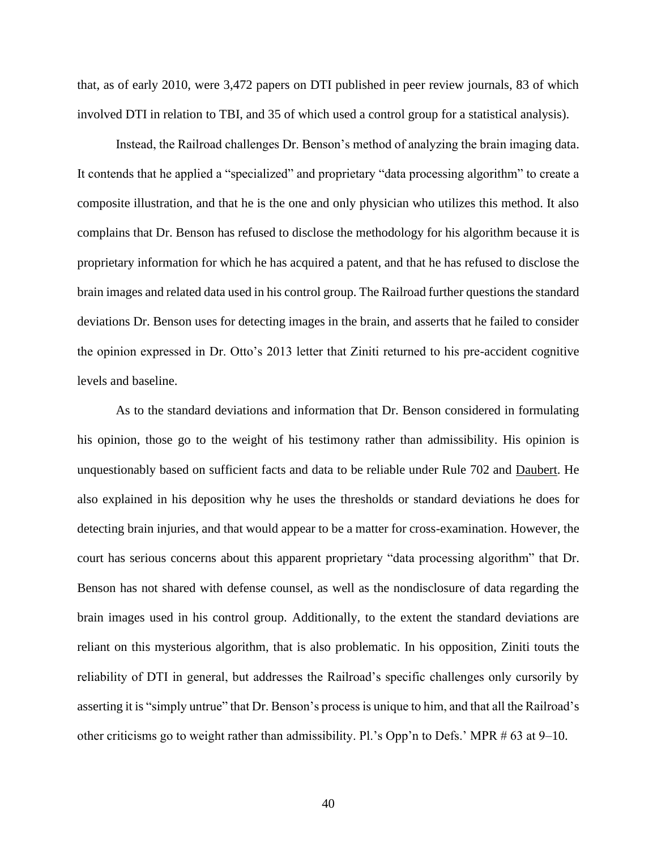that, as of early 2010, were 3,472 papers on DTI published in peer review journals, 83 of which involved DTI in relation to TBI, and 35 of which used a control group for a statistical analysis).

Instead, the Railroad challenges Dr. Benson's method of analyzing the brain imaging data. It contends that he applied a "specialized" and proprietary "data processing algorithm" to create a composite illustration, and that he is the one and only physician who utilizes this method. It also complains that Dr. Benson has refused to disclose the methodology for his algorithm because it is proprietary information for which he has acquired a patent, and that he has refused to disclose the brain images and related data used in his control group. The Railroad further questions the standard deviations Dr. Benson uses for detecting images in the brain, and asserts that he failed to consider the opinion expressed in Dr. Otto's 2013 letter that Ziniti returned to his pre-accident cognitive levels and baseline.

As to the standard deviations and information that Dr. Benson considered in formulating his opinion, those go to the weight of his testimony rather than admissibility. His opinion is unquestionably based on sufficient facts and data to be reliable under Rule 702 and Daubert. He also explained in his deposition why he uses the thresholds or standard deviations he does for detecting brain injuries, and that would appear to be a matter for cross-examination. However, the court has serious concerns about this apparent proprietary "data processing algorithm" that Dr. Benson has not shared with defense counsel, as well as the nondisclosure of data regarding the brain images used in his control group. Additionally, to the extent the standard deviations are reliant on this mysterious algorithm, that is also problematic. In his opposition, Ziniti touts the reliability of DTI in general, but addresses the Railroad's specific challenges only cursorily by asserting it is "simply untrue" that Dr. Benson's process is unique to him, and that all the Railroad's other criticisms go to weight rather than admissibility. Pl.'s Opp'n to Defs.' MPR # 63 at 9–10.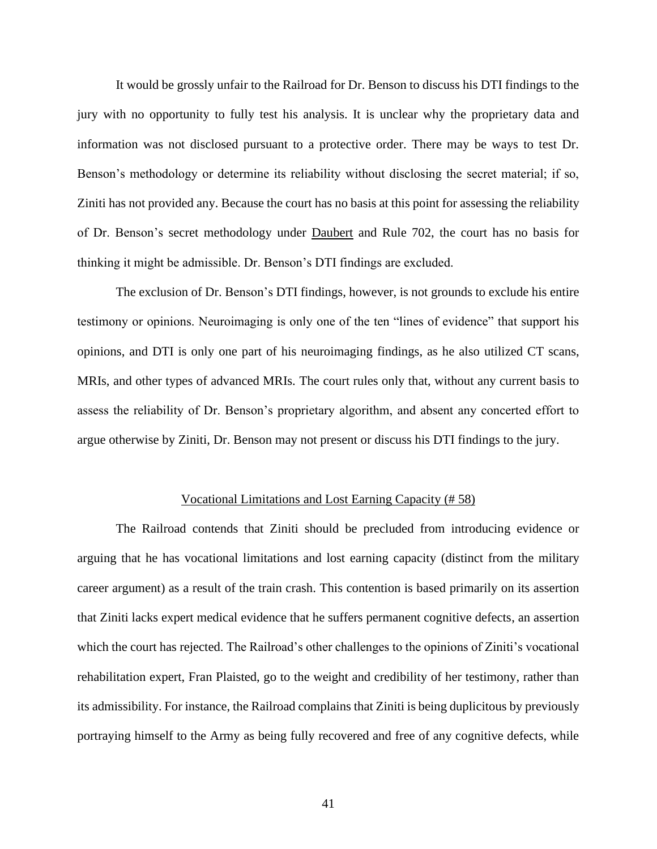It would be grossly unfair to the Railroad for Dr. Benson to discuss his DTI findings to the jury with no opportunity to fully test his analysis. It is unclear why the proprietary data and information was not disclosed pursuant to a protective order. There may be ways to test Dr. Benson's methodology or determine its reliability without disclosing the secret material; if so, Ziniti has not provided any. Because the court has no basis at this point for assessing the reliability of Dr. Benson's secret methodology under Daubert and Rule 702, the court has no basis for thinking it might be admissible. Dr. Benson's DTI findings are excluded.

The exclusion of Dr. Benson's DTI findings, however, is not grounds to exclude his entire testimony or opinions. Neuroimaging is only one of the ten "lines of evidence" that support his opinions, and DTI is only one part of his neuroimaging findings, as he also utilized CT scans, MRIs, and other types of advanced MRIs. The court rules only that, without any current basis to assess the reliability of Dr. Benson's proprietary algorithm, and absent any concerted effort to argue otherwise by Ziniti, Dr. Benson may not present or discuss his DTI findings to the jury.

### Vocational Limitations and Lost Earning Capacity (# 58)

<span id="page-40-0"></span>The Railroad contends that Ziniti should be precluded from introducing evidence or arguing that he has vocational limitations and lost earning capacity (distinct from the military career argument) as a result of the train crash. This contention is based primarily on its assertion that Ziniti lacks expert medical evidence that he suffers permanent cognitive defects, an assertion which the court has rejected. The Railroad's other challenges to the opinions of Ziniti's vocational rehabilitation expert, Fran Plaisted, go to the weight and credibility of her testimony, rather than its admissibility. For instance, the Railroad complains that Ziniti is being duplicitous by previously portraying himself to the Army as being fully recovered and free of any cognitive defects, while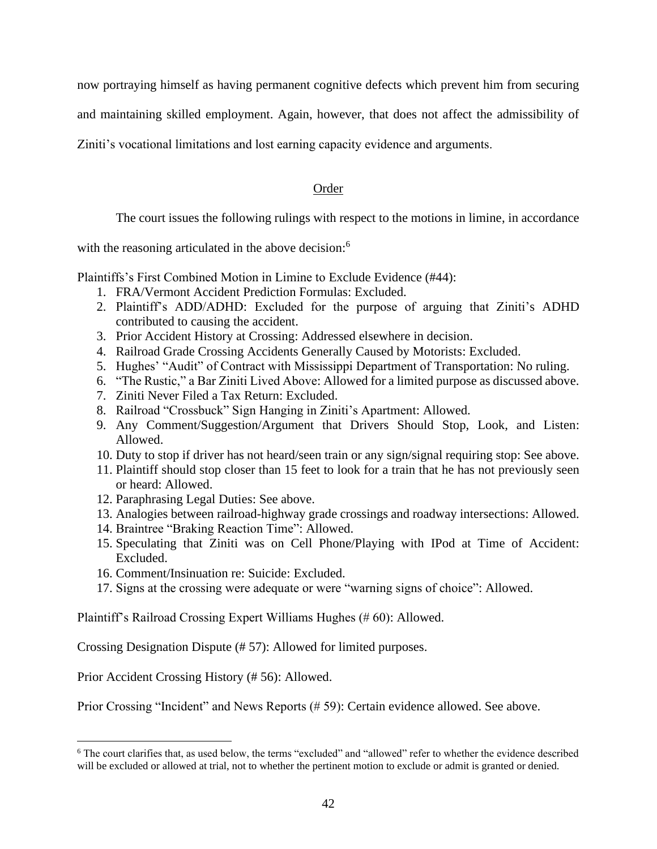now portraying himself as having permanent cognitive defects which prevent him from securing

and maintaining skilled employment. Again, however, that does not affect the admissibility of

<span id="page-41-0"></span>Ziniti's vocational limitations and lost earning capacity evidence and arguments.

# Order

The court issues the following rulings with respect to the motions in limine, in accordance

with the reasoning articulated in the above decision:<sup>6</sup>

Plaintiffs's First Combined Motion in Limine to Exclude Evidence (#44):

- 1. FRA/Vermont Accident Prediction Formulas: Excluded.
- 2. Plaintiff's ADD/ADHD: Excluded for the purpose of arguing that Ziniti's ADHD contributed to causing the accident.
- 3. Prior Accident History at Crossing: Addressed elsewhere in decision.
- 4. Railroad Grade Crossing Accidents Generally Caused by Motorists: Excluded.
- 5. Hughes' "Audit" of Contract with Mississippi Department of Transportation: No ruling.
- 6. "The Rustic," a Bar Ziniti Lived Above: Allowed for a limited purpose as discussed above.
- 7. Ziniti Never Filed a Tax Return: Excluded.
- 8. Railroad "Crossbuck" Sign Hanging in Ziniti's Apartment: Allowed.
- 9. Any Comment/Suggestion/Argument that Drivers Should Stop, Look, and Listen: Allowed.
- 10. Duty to stop if driver has not heard/seen train or any sign/signal requiring stop: See above.
- 11. Plaintiff should stop closer than 15 feet to look for a train that he has not previously seen or heard: Allowed.
- 12. Paraphrasing Legal Duties: See above.
- 13. Analogies between railroad-highway grade crossings and roadway intersections: Allowed.
- 14. Braintree "Braking Reaction Time": Allowed.
- 15. Speculating that Ziniti was on Cell Phone/Playing with IPod at Time of Accident: Excluded.
- 16. Comment/Insinuation re: Suicide: Excluded.
- 17. Signs at the crossing were adequate or were "warning signs of choice": Allowed.

Plaintiff's Railroad Crossing Expert Williams Hughes (# 60): Allowed.

Crossing Designation Dispute (# 57): Allowed for limited purposes.

Prior Accident Crossing History (# 56): Allowed.

Prior Crossing "Incident" and News Reports (# 59): Certain evidence allowed. See above.

<sup>&</sup>lt;sup>6</sup> The court clarifies that, as used below, the terms "excluded" and "allowed" refer to whether the evidence described will be excluded or allowed at trial, not to whether the pertinent motion to exclude or admit is granted or denied.